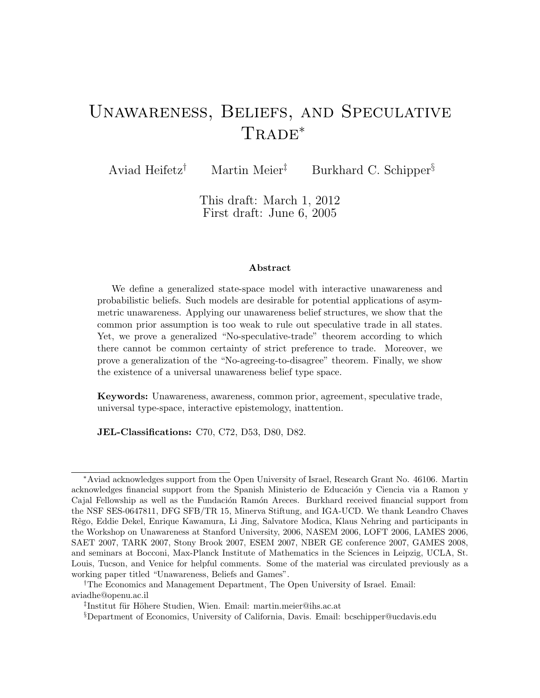# Unawareness, Beliefs, and Speculative TRADE<sup>\*</sup>

Aviad Heifetz<sup>†</sup> Martin Meier<sup>‡</sup> Burkhard C. Schipper<sup>§</sup>

This draft: March 1, 2012 First draft: June 6, 2005

#### Abstract

We define a generalized state-space model with interactive unawareness and probabilistic beliefs. Such models are desirable for potential applications of asymmetric unawareness. Applying our unawareness belief structures, we show that the common prior assumption is too weak to rule out speculative trade in all states. Yet, we prove a generalized "No-speculative-trade" theorem according to which there cannot be common certainty of strict preference to trade. Moreover, we prove a generalization of the "No-agreeing-to-disagree" theorem. Finally, we show the existence of a universal unawareness belief type space.

Keywords: Unawareness, awareness, common prior, agreement, speculative trade, universal type-space, interactive epistemology, inattention.

JEL-Classifications: C70, C72, D53, D80, D82.

<sup>∗</sup>Aviad acknowledges support from the Open University of Israel, Research Grant No. 46106. Martin acknowledges financial support from the Spanish Ministerio de Educación y Ciencia via a Ramon y Cajal Fellowship as well as the Fundación Ramón Areces. Burkhard received financial support from the NSF SES-0647811, DFG SFB/TR 15, Minerva Stiftung, and IGA-UCD. We thank Leandro Chaves Rˆego, Eddie Dekel, Enrique Kawamura, Li Jing, Salvatore Modica, Klaus Nehring and participants in the Workshop on Unawareness at Stanford University, 2006, NASEM 2006, LOFT 2006, LAMES 2006, SAET 2007, TARK 2007, Stony Brook 2007, ESEM 2007, NBER GE conference 2007, GAMES 2008, and seminars at Bocconi, Max-Planck Institute of Mathematics in the Sciences in Leipzig, UCLA, St. Louis, Tucson, and Venice for helpful comments. Some of the material was circulated previously as a working paper titled "Unawareness, Beliefs and Games".

<sup>†</sup>The Economics and Management Department, The Open University of Israel. Email: aviadhe@openu.ac.il

<sup>&</sup>lt;sup>‡</sup>Institut für Höhere Studien, Wien. Email: martin.meier@ihs.ac.at

<sup>§</sup>Department of Economics, University of California, Davis. Email: bcschipper@ucdavis.edu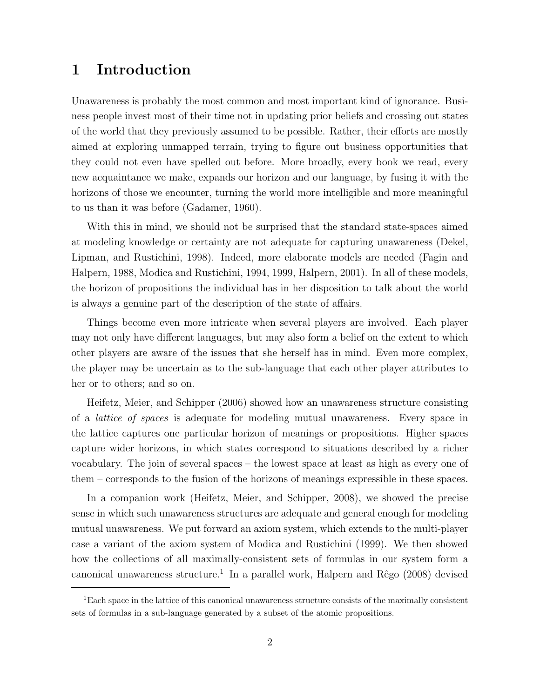## 1 Introduction

Unawareness is probably the most common and most important kind of ignorance. Business people invest most of their time not in updating prior beliefs and crossing out states of the world that they previously assumed to be possible. Rather, their efforts are mostly aimed at exploring unmapped terrain, trying to figure out business opportunities that they could not even have spelled out before. More broadly, every book we read, every new acquaintance we make, expands our horizon and our language, by fusing it with the horizons of those we encounter, turning the world more intelligible and more meaningful to us than it was before (Gadamer, 1960).

With this in mind, we should not be surprised that the standard state-spaces aimed at modeling knowledge or certainty are not adequate for capturing unawareness (Dekel, Lipman, and Rustichini, 1998). Indeed, more elaborate models are needed (Fagin and Halpern, 1988, Modica and Rustichini, 1994, 1999, Halpern, 2001). In all of these models, the horizon of propositions the individual has in her disposition to talk about the world is always a genuine part of the description of the state of affairs.

Things become even more intricate when several players are involved. Each player may not only have different languages, but may also form a belief on the extent to which other players are aware of the issues that she herself has in mind. Even more complex, the player may be uncertain as to the sub-language that each other player attributes to her or to others; and so on.

Heifetz, Meier, and Schipper (2006) showed how an unawareness structure consisting of a lattice of spaces is adequate for modeling mutual unawareness. Every space in the lattice captures one particular horizon of meanings or propositions. Higher spaces capture wider horizons, in which states correspond to situations described by a richer vocabulary. The join of several spaces – the lowest space at least as high as every one of them – corresponds to the fusion of the horizons of meanings expressible in these spaces.

In a companion work (Heifetz, Meier, and Schipper, 2008), we showed the precise sense in which such unawareness structures are adequate and general enough for modeling mutual unawareness. We put forward an axiom system, which extends to the multi-player case a variant of the axiom system of Modica and Rustichini (1999). We then showed how the collections of all maximally-consistent sets of formulas in our system form a canonical unawareness structure.<sup>1</sup> In a parallel work, Halpern and Rêgo (2008) devised

<sup>&</sup>lt;sup>1</sup>Each space in the lattice of this canonical unawareness structure consists of the maximally consistent sets of formulas in a sub-language generated by a subset of the atomic propositions.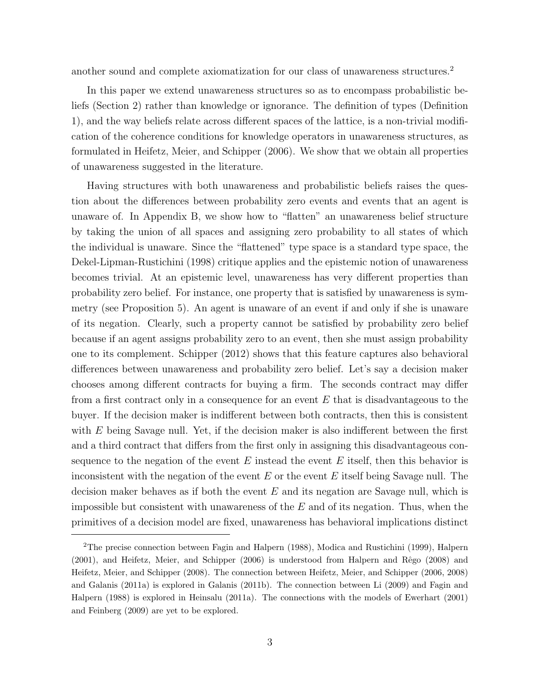another sound and complete axiomatization for our class of unawareness structures.<sup>2</sup>

In this paper we extend unawareness structures so as to encompass probabilistic beliefs (Section 2) rather than knowledge or ignorance. The definition of types (Definition 1), and the way beliefs relate across different spaces of the lattice, is a non-trivial modification of the coherence conditions for knowledge operators in unawareness structures, as formulated in Heifetz, Meier, and Schipper (2006). We show that we obtain all properties of unawareness suggested in the literature.

Having structures with both unawareness and probabilistic beliefs raises the question about the differences between probability zero events and events that an agent is unaware of. In Appendix B, we show how to "flatten" an unawareness belief structure by taking the union of all spaces and assigning zero probability to all states of which the individual is unaware. Since the "flattened" type space is a standard type space, the Dekel-Lipman-Rustichini (1998) critique applies and the epistemic notion of unawareness becomes trivial. At an epistemic level, unawareness has very different properties than probability zero belief. For instance, one property that is satisfied by unawareness is symmetry (see Proposition 5). An agent is unaware of an event if and only if she is unaware of its negation. Clearly, such a property cannot be satisfied by probability zero belief because if an agent assigns probability zero to an event, then she must assign probability one to its complement. Schipper (2012) shows that this feature captures also behavioral differences between unawareness and probability zero belief. Let's say a decision maker chooses among different contracts for buying a firm. The seconds contract may differ from a first contract only in a consequence for an event  $E$  that is disadvantageous to the buyer. If the decision maker is indifferent between both contracts, then this is consistent with  $E$  being Savage null. Yet, if the decision maker is also indifferent between the first and a third contract that differs from the first only in assigning this disadvantageous consequence to the negation of the event  $E$  instead the event  $E$  itself, then this behavior is inconsistent with the negation of the event  $E$  or the event  $E$  itself being Savage null. The decision maker behaves as if both the event  $E$  and its negation are Savage null, which is impossible but consistent with unawareness of the  $E$  and of its negation. Thus, when the primitives of a decision model are fixed, unawareness has behavioral implications distinct

<sup>2</sup>The precise connection between Fagin and Halpern (1988), Modica and Rustichini (1999), Halpern  $(2001)$ , and Heifetz, Meier, and Schipper  $(2006)$  is understood from Halpern and Rêgo  $(2008)$  and Heifetz, Meier, and Schipper (2008). The connection between Heifetz, Meier, and Schipper (2006, 2008) and Galanis (2011a) is explored in Galanis (2011b). The connection between Li (2009) and Fagin and Halpern (1988) is explored in Heinsalu (2011a). The connections with the models of Ewerhart (2001) and Feinberg (2009) are yet to be explored.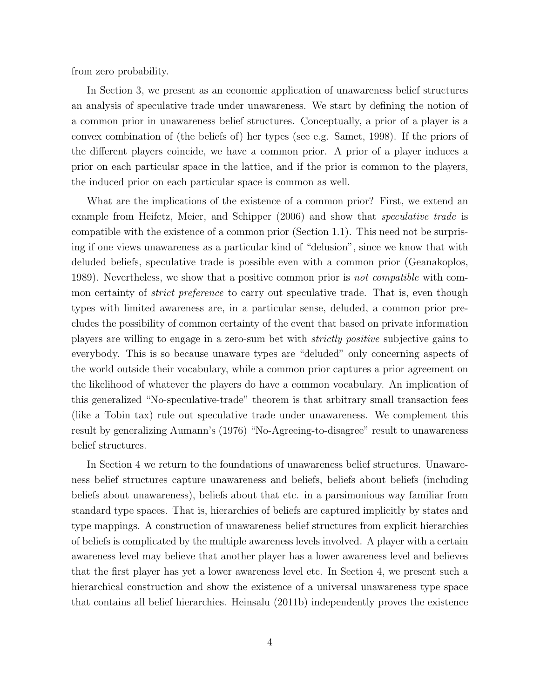from zero probability.

In Section 3, we present as an economic application of unawareness belief structures an analysis of speculative trade under unawareness. We start by defining the notion of a common prior in unawareness belief structures. Conceptually, a prior of a player is a convex combination of (the beliefs of) her types (see e.g. Samet, 1998). If the priors of the different players coincide, we have a common prior. A prior of a player induces a prior on each particular space in the lattice, and if the prior is common to the players, the induced prior on each particular space is common as well.

What are the implications of the existence of a common prior? First, we extend an example from Heifetz, Meier, and Schipper (2006) and show that speculative trade is compatible with the existence of a common prior (Section 1.1). This need not be surprising if one views unawareness as a particular kind of "delusion", since we know that with deluded beliefs, speculative trade is possible even with a common prior (Geanakoplos, 1989). Nevertheless, we show that a positive common prior is not compatible with common certainty of *strict preference* to carry out speculative trade. That is, even though types with limited awareness are, in a particular sense, deluded, a common prior precludes the possibility of common certainty of the event that based on private information players are willing to engage in a zero-sum bet with strictly positive subjective gains to everybody. This is so because unaware types are "deluded" only concerning aspects of the world outside their vocabulary, while a common prior captures a prior agreement on the likelihood of whatever the players do have a common vocabulary. An implication of this generalized "No-speculative-trade" theorem is that arbitrary small transaction fees (like a Tobin tax) rule out speculative trade under unawareness. We complement this result by generalizing Aumann's (1976) "No-Agreeing-to-disagree" result to unawareness belief structures.

In Section 4 we return to the foundations of unawareness belief structures. Unawareness belief structures capture unawareness and beliefs, beliefs about beliefs (including beliefs about unawareness), beliefs about that etc. in a parsimonious way familiar from standard type spaces. That is, hierarchies of beliefs are captured implicitly by states and type mappings. A construction of unawareness belief structures from explicit hierarchies of beliefs is complicated by the multiple awareness levels involved. A player with a certain awareness level may believe that another player has a lower awareness level and believes that the first player has yet a lower awareness level etc. In Section 4, we present such a hierarchical construction and show the existence of a universal unawareness type space that contains all belief hierarchies. Heinsalu (2011b) independently proves the existence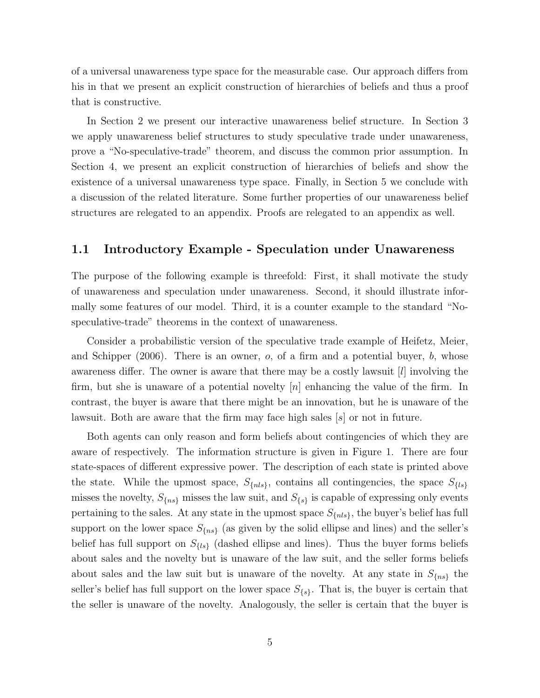of a universal unawareness type space for the measurable case. Our approach differs from his in that we present an explicit construction of hierarchies of beliefs and thus a proof that is constructive.

In Section 2 we present our interactive unawareness belief structure. In Section 3 we apply unawareness belief structures to study speculative trade under unawareness, prove a "No-speculative-trade" theorem, and discuss the common prior assumption. In Section 4, we present an explicit construction of hierarchies of beliefs and show the existence of a universal unawareness type space. Finally, in Section 5 we conclude with a discussion of the related literature. Some further properties of our unawareness belief structures are relegated to an appendix. Proofs are relegated to an appendix as well.

#### 1.1 Introductory Example - Speculation under Unawareness

The purpose of the following example is threefold: First, it shall motivate the study of unawareness and speculation under unawareness. Second, it should illustrate informally some features of our model. Third, it is a counter example to the standard "Nospeculative-trade" theorems in the context of unawareness.

Consider a probabilistic version of the speculative trade example of Heifetz, Meier, and Schipper  $(2006)$ . There is an owner,  $o$ , of a firm and a potential buyer,  $b$ , whose awareness differ. The owner is aware that there may be a costly lawsuit  $|l|$  involving the firm, but she is unaware of a potential novelty  $[n]$  enhancing the value of the firm. In contrast, the buyer is aware that there might be an innovation, but he is unaware of the lawsuit. Both are aware that the firm may face high sales  $|s|$  or not in future.

Both agents can only reason and form beliefs about contingencies of which they are aware of respectively. The information structure is given in Figure 1. There are four state-spaces of different expressive power. The description of each state is printed above the state. While the upmost space,  $S_{\{nls\}}$ , contains all contingencies, the space  $S_{\{ls\}}$ misses the novelty,  $S_{\{ns\}}$  misses the law suit, and  $S_{\{s\}}$  is capable of expressing only events pertaining to the sales. At any state in the upmost space  $S_{\{nls\}}$ , the buyer's belief has full support on the lower space  $S_{\{ns\}}$  (as given by the solid ellipse and lines) and the seller's belief has full support on  $S_{\{ls\}}$  (dashed ellipse and lines). Thus the buyer forms beliefs about sales and the novelty but is unaware of the law suit, and the seller forms beliefs about sales and the law suit but is unaware of the novelty. At any state in  $S_{\{ns\}}$  the seller's belief has full support on the lower space  $S_{\{s\}}$ . That is, the buyer is certain that the seller is unaware of the novelty. Analogously, the seller is certain that the buyer is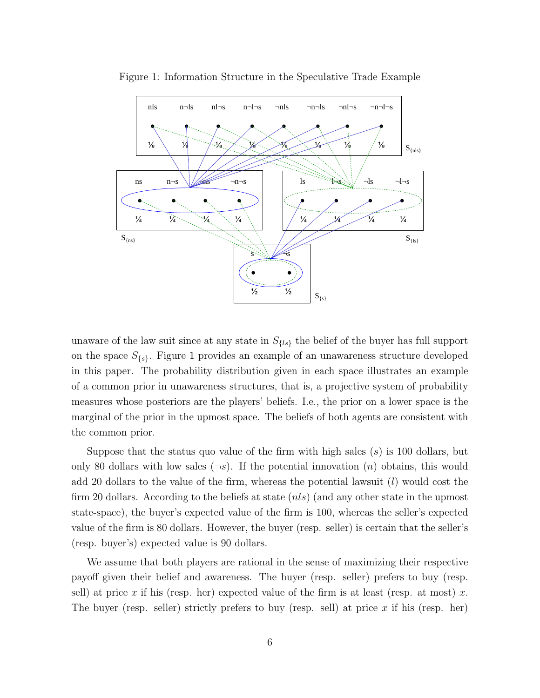

Figure 1: Information Structure in the Speculative Trade Example

unaware of the law suit since at any state in  $S_{\{ls\}}$  the belief of the buyer has full support on the space  $S_{\{s\}}$ . Figure 1 provides an example of an unawareness structure developed in this paper. The probability distribution given in each space illustrates an example of a common prior in unawareness structures, that is, a projective system of probability measures whose posteriors are the players' beliefs. I.e., the prior on a lower space is the marginal of the prior in the upmost space. The beliefs of both agents are consistent with the common prior.

Suppose that the status quo value of the firm with high sales  $(s)$  is 100 dollars, but only 80 dollars with low sales  $(\neg s)$ . If the potential innovation  $(n)$  obtains, this would add 20 dollars to the value of the firm, whereas the potential lawsuit  $(l)$  would cost the firm 20 dollars. According to the beliefs at state (*nls*) (and any other state in the upmost state-space), the buyer's expected value of the firm is 100, whereas the seller's expected value of the firm is 80 dollars. However, the buyer (resp. seller) is certain that the seller's (resp. buyer's) expected value is 90 dollars.

We assume that both players are rational in the sense of maximizing their respective payoff given their belief and awareness. The buyer (resp. seller) prefers to buy (resp. sell) at price x if his (resp. her) expected value of the firm is at least (resp. at most) x. The buyer (resp. seller) strictly prefers to buy (resp. sell) at price x if his (resp. her)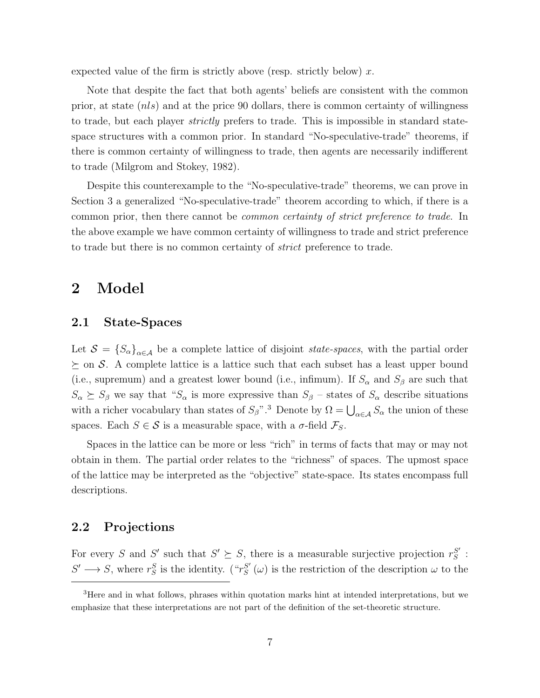expected value of the firm is strictly above (resp. strictly below)  $x$ .

Note that despite the fact that both agents' beliefs are consistent with the common prior, at state (nls) and at the price 90 dollars, there is common certainty of willingness to trade, but each player strictly prefers to trade. This is impossible in standard statespace structures with a common prior. In standard "No-speculative-trade" theorems, if there is common certainty of willingness to trade, then agents are necessarily indifferent to trade (Milgrom and Stokey, 1982).

Despite this counterexample to the "No-speculative-trade" theorems, we can prove in Section 3 a generalized "No-speculative-trade" theorem according to which, if there is a common prior, then there cannot be *common certainty of strict preference to trade*. In the above example we have common certainty of willingness to trade and strict preference to trade but there is no common certainty of strict preference to trade.

## 2 Model

#### 2.1 State-Spaces

Let  $S = {S_{\alpha}}_{\alpha \in A}$  be a complete lattice of disjoint *state-spaces*, with the partial order  $\succeq$  on S. A complete lattice is a lattice such that each subset has a least upper bound (i.e., supremum) and a greatest lower bound (i.e., infimum). If  $S_\alpha$  and  $S_\beta$  are such that  $S_{\alpha} \succeq S_{\beta}$  we say that " $S_{\alpha}$  is more expressive than  $S_{\beta}$  – states of  $S_{\alpha}$  describe situations with a richer vocabulary than states of  $S_\beta$ ".<sup>3</sup> Denote by  $\Omega = \bigcup_{\alpha \in A} S_\alpha$  the union of these spaces. Each  $S \in \mathcal{S}$  is a measurable space, with a  $\sigma$ -field  $\mathcal{F}_S$ .

Spaces in the lattice can be more or less "rich" in terms of facts that may or may not obtain in them. The partial order relates to the "richness" of spaces. The upmost space of the lattice may be interpreted as the "objective" state-space. Its states encompass full descriptions.

### 2.2 Projections

For every S and S' such that  $S' \succeq S$ , there is a measurable surjective projection  $r_S^{S'}$  $^{{\cal S}'}_{{\cal S}}$  :  $S' \longrightarrow S$ , where  $r_S^S$  is the identity. (" $r_S^{S'}$  $S'_{S}(\omega)$  is the restriction of the description  $\omega$  to the

<sup>3</sup>Here and in what follows, phrases within quotation marks hint at intended interpretations, but we emphasize that these interpretations are not part of the definition of the set-theoretic structure.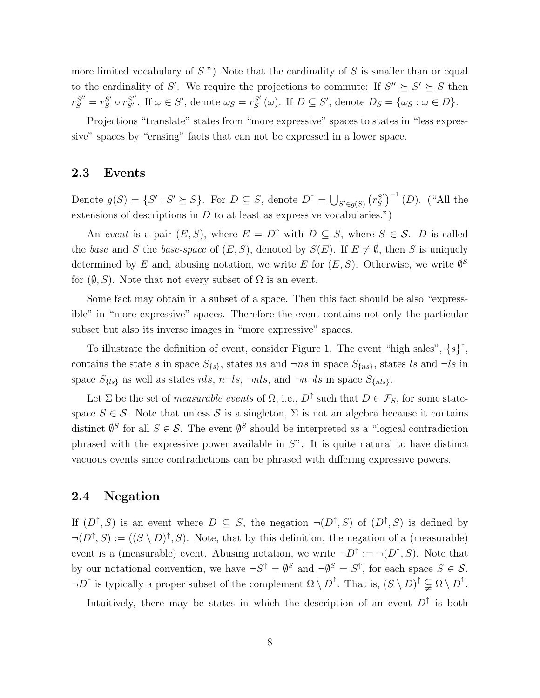more limited vocabulary of  $S$ .") Note that the cardinality of  $S$  is smaller than or equal to the cardinality of S'. We require the projections to commute: If  $S'' \succeq S' \succeq S$  then  $r_S^{S''}=r_S^{S'}$  $S'_{S} \circ r_{S'}^{S''}$ . If  $\omega \in S'$ , denote  $\omega_{S} = r_{S}^{S'}$  $S'_{S}(\omega)$ . If  $D \subseteq S'$ , denote  $D_{S} = {\omega_{S} : \omega \in D}$ .

Projections "translate" states from "more expressive" spaces to states in "less expressive" spaces by "erasing" facts that can not be expressed in a lower space.

#### 2.3 Events

Denote  $g(S) = \{S' : S' \succeq S\}$ . For  $D \subseteq S$ , denote  $D^{\uparrow} = \bigcup_{S' \in g(S)} (r_S^{S'})$  $S'\choose S$ <sup>-1</sup>(D). ("All the extensions of descriptions in  $D$  to at least as expressive vocabularies.")

An event is a pair  $(E, S)$ , where  $E = D^{\dagger}$  with  $D \subseteq S$ , where  $S \in \mathcal{S}$ . D is called the base and S the base-space of  $(E, S)$ , denoted by  $S(E)$ . If  $E \neq \emptyset$ , then S is uniquely determined by E and, abusing notation, we write E for  $(E, S)$ . Otherwise, we write  $\emptyset^S$ for  $(\emptyset, S)$ . Note that not every subset of  $\Omega$  is an event.

Some fact may obtain in a subset of a space. Then this fact should be also "expressible" in "more expressive" spaces. Therefore the event contains not only the particular subset but also its inverse images in "more expressive" spaces.

To illustrate the definition of event, consider Figure 1. The event "high sales",  $\{s\}^{\uparrow}$ , contains the state s in space  $S_{\{s\}}$ , states ns and  $\neg ns$  in space  $S_{\{ns\}}$ , states ls and  $\neg ls$  in space  $S_{\{ls\}}$  as well as states  $nls$ ,  $n\neg ls$ ,  $\neg nls$ , and  $\neg n\neg ls$  in space  $S_{\{nls\}}$ .

Let  $\Sigma$  be the set of *measurable events* of  $\Omega$ , i.e.,  $D^{\uparrow}$  such that  $D \in \mathcal{F}_S$ , for some statespace  $S \in \mathcal{S}$ . Note that unless  $\mathcal{S}$  is a singleton,  $\Sigma$  is not an algebra because it contains distinct  $\emptyset^S$  for all  $S \in \mathcal{S}$ . The event  $\emptyset^S$  should be interpreted as a "logical contradiction" phrased with the expressive power available in  $S$ ". It is quite natural to have distinct vacuous events since contradictions can be phrased with differing expressive powers.

### 2.4 Negation

If  $(D^{\uparrow}, S)$  is an event where  $D \subseteq S$ , the negation  $\neg(D^{\uparrow}, S)$  of  $(D^{\uparrow}, S)$  is defined by  $\neg(D^{\dagger}, S) := ((S \setminus D)^{\dagger}, S)$ . Note, that by this definition, the negation of a (measurable) event is a (measurable) event. Abusing notation, we write  $\neg D^{\dagger} := \neg (D^{\dagger}, S)$ . Note that by our notational convention, we have  $\neg S^{\uparrow} = \emptyset^S$  and  $\neg \emptyset^S = S^{\uparrow}$ , for each space  $S \in \mathcal{S}$ .  $\neg D^{\uparrow}$  is typically a proper subset of the complement  $\Omega \setminus D^{\uparrow}$ . That is,  $(S \setminus D)^{\uparrow} \subsetneq \Omega \setminus D^{\uparrow}$ .

Intuitively, there may be states in which the description of an event  $D^{\uparrow}$  is both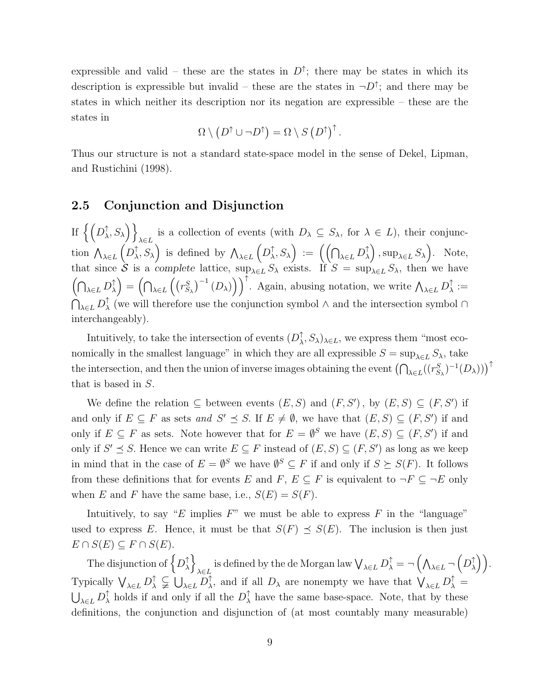expressible and valid – these are the states in  $D^{\uparrow}$ ; there may be states in which its description is expressible but invalid – these are the states in  $\neg D^{\uparrow}$ ; and there may be states in which neither its description nor its negation are expressible – these are the states in

$$
\Omega\setminus\left(D^{\uparrow}\cup\neg D^{\uparrow}\right)=\Omega\setminus S\left(D^{\uparrow}\right)^{\uparrow}.
$$

Thus our structure is not a standard state-space model in the sense of Dekel, Lipman, and Rustichini (1998).

### 2.5 Conjunction and Disjunction

If  $\big\{ \big(D_\lambda^\uparrow$  $\left\{\zeta, S_{\lambda}\right\}\right\}_{\lambda \in I}$  is a collection of events (with  $D_{\lambda} \subseteq S_{\lambda}$ , for  $\lambda \in L$ ), their conjunc- $\lambda \in L$ tion  $\bigwedge_{\lambda \in L} \left( D^\uparrow_\lambda \right)$  $(\bigwedge^{\uparrow}, S_{\lambda})$  is defined by  $\bigwedge_{\lambda \in L} \left(D_{\lambda}^{\uparrow}\right)$  $\left(\bigcap_{\lambda\in L}D^\uparrow_\lambda\right)\;:=\;\Bigl(\left(\bigcap_{\lambda\in L}D^\uparrow_\lambda\right)$  $\left(\begin{matrix} \uparrow \\ \lambda \end{matrix}\right)$ , sup $\lambda \in L S_{\lambda}$ . Note, that since S is a complete lattice,  $\sup_{\lambda \in L} S_{\lambda}$  exists. If  $S = \sup_{\lambda \in L} S_{\lambda}$ , then we have  $\left(\bigcap_{\lambda\in L}D^\uparrow_\lambda\right)$  $\begin{pmatrix} \uparrow \\ \downarrow \end{pmatrix} = \left( \bigcap_{\lambda \in L} \left( \left( r_{S_{\lambda}}^{S} \right)^{-1} (D_{\lambda}) \right) \right)^{\uparrow}$ . Again, abusing notation, we write  $\bigwedge_{\lambda \in L} D_{\lambda}^{\uparrow}$  $\frac{1}{\lambda} :=$  $\bigcap_{\lambda \in L} D_{\lambda}^{\uparrow}$  (we will therefore use the conjunction symbol  $\wedge$  and the intersection symbol  $\cap$ ↑ interchangeably).

Intuitively, to take the intersection of events  $(D_{\lambda}^{\uparrow})$  $\{\lambda, S_{\lambda}\}_{\lambda \in L}$ , we express them "most economically in the smallest language" in which they are all expressible  $S = \sup_{\lambda \in L} S_{\lambda}$ , take the intersection, and then the union of inverse images obtaining the event  $\left(\bigcap_{\lambda\in L}((r^{S}_{S_{\lambda}})^{-1}(D_{\lambda}))\right)^{\uparrow}$ that is based in S.

We define the relation  $\subseteq$  between events  $(E, S)$  and  $(F, S')$ , by  $(E, S) \subseteq (F, S')$  if and only if  $E \subseteq F$  as sets and  $S' \preceq S$ . If  $E \neq \emptyset$ , we have that  $(E, S) \subseteq (F, S')$  if and only if  $E \subseteq F$  as sets. Note however that for  $E = \emptyset^S$  we have  $(E, S) \subseteq (F, S')$  if and only if  $S' \preceq S$ . Hence we can write  $E \subseteq F$  instead of  $(E, S) \subseteq (F, S')$  as long as we keep in mind that in the case of  $E = \emptyset^S$  we have  $\emptyset^S \subseteq F$  if and only if  $S \succeq S(F)$ . It follows from these definitions that for events E and F,  $E \subseteq F$  is equivalent to  $\neg F \subseteq \neg E$  only when E and F have the same base, i.e.,  $S(E) = S(F)$ .

Intuitively, to say "E implies  $F$ " we must be able to express  $F$  in the "language" used to express E. Hence, it must be that  $S(F) \preceq S(E)$ . The inclusion is then just  $E \cap S(E) \subseteq F \cap S(E).$ 

The disjunction of  $\left\{D^{\uparrow}_{\lambda}\right\}$  $\left\{ \begin{array}{c} \uparrow \\ \downarrow \end{array} \right\}$  $\lambda \in L$  is defined by the de Morgan law  $\bigvee_{\lambda \in L} D^\uparrow_\lambda = \neg \left( \bigwedge_{\lambda \in L} \neg \left( D^\uparrow_\lambda \right) \right)$  $\binom{\uparrow}{\lambda}$ . Typically  $\bigvee_{\lambda \in L} D_{\lambda}^{\uparrow} \subsetneq \bigcup_{\lambda \in L} D_{\lambda}^{\uparrow}$  $\hat{\lambda}$ , and if all  $D_{\lambda}$  are nonempty we have that  $\bigvee_{\lambda \in L} D_{\lambda}^{\uparrow} =$  $\bigcup_{\lambda \in L} D^\uparrow_\lambda$  $\hat{\lambda}$  holds if and only if all the  $D^{\uparrow}_{\lambda}$  $\lambda$  have the same base-space. Note, that by these definitions, the conjunction and disjunction of (at most countably many measurable)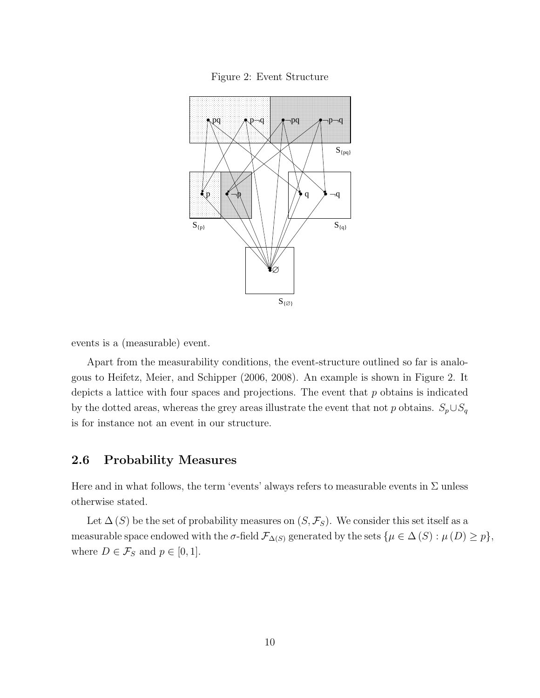



events is a (measurable) event.

Apart from the measurability conditions, the event-structure outlined so far is analogous to Heifetz, Meier, and Schipper (2006, 2008). An example is shown in Figure 2. It depicts a lattice with four spaces and projections. The event that  $p$  obtains is indicated by the dotted areas, whereas the grey areas illustrate the event that not p obtains.  $S_p \cup S_q$ is for instance not an event in our structure.

## 2.6 Probability Measures

Here and in what follows, the term 'events' always refers to measurable events in  $\Sigma$  unless otherwise stated.

Let  $\Delta(S)$  be the set of probability measures on  $(S, \mathcal{F}_S)$ . We consider this set itself as a measurable space endowed with the  $\sigma$ -field  $\mathcal{F}_{\Delta(S)}$  generated by the sets  $\{\mu \in \Delta(S) : \mu(D) \geq p\},\$ where  $D \in \mathcal{F}_S$  and  $p \in [0, 1]$ .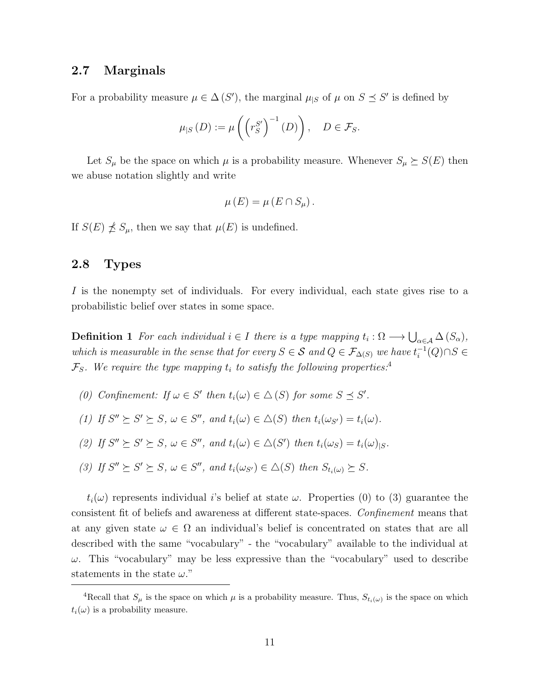#### 2.7 Marginals

For a probability measure  $\mu \in \Delta(S')$ , the marginal  $\mu_{|S}$  of  $\mu$  on  $S \preceq S'$  is defined by

$$
\mu_{|S}\left(D\right) := \mu\left(\left(r_S^{S'}\right)^{-1}\left(D\right)\right), \quad D \in \mathcal{F}_S.
$$

Let  $S_{\mu}$  be the space on which  $\mu$  is a probability measure. Whenever  $S_{\mu} \succeq S(E)$  then we abuse notation slightly and write

$$
\mu(E) = \mu(E \cap S_{\mu}).
$$

If  $S(E) \npreceq S_\mu$ , then we say that  $\mu(E)$  is undefined.

#### 2.8 Types

I is the nonempty set of individuals. For every individual, each state gives rise to a probabilistic belief over states in some space.

**Definition 1** For each individual  $i \in I$  there is a type mapping  $t_i : \Omega \longrightarrow \bigcup_{\alpha \in A} \Delta(S_\alpha)$ , which is measurable in the sense that for every  $S \in \mathcal{S}$  and  $Q \in \mathcal{F}_{\Delta(S)}$  we have  $t_i^{-1}$  $i^{-1}(Q) \cap S \in$  $\mathcal{F}_S$ . We require the type mapping  $t_i$  to satisfy the following properties.<sup>4</sup>

- (0) Confinement: If  $\omega \in S'$  then  $t_i(\omega) \in \Delta(S)$  for some  $S \preceq S'$ .
- (1) If  $S'' \succeq S' \succeq S$ ,  $\omega \in S''$ , and  $t_i(\omega) \in \Delta(S)$  then  $t_i(\omega_{S'}) = t_i(\omega)$ .
- (2) If  $S'' \succeq S' \succeq S$ ,  $\omega \in S''$ , and  $t_i(\omega) \in \Delta(S')$  then  $t_i(\omega_S) = t_i(\omega)_{|S}$ .
- (3) If  $S'' \succeq S' \succeq S$ ,  $\omega \in S''$ , and  $t_i(\omega_{S'}) \in \Delta(S)$  then  $S_{t_i(\omega)} \succeq S$ .

 $t_i(\omega)$  represents individual i's belief at state  $\omega$ . Properties (0) to (3) guarantee the consistent fit of beliefs and awareness at different state-spaces. Confinement means that at any given state  $\omega \in \Omega$  an individual's belief is concentrated on states that are all described with the same "vocabulary" - the "vocabulary" available to the individual at  $\omega$ . This "vocabulary" may be less expressive than the "vocabulary" used to describe statements in the state  $\omega$ ."

<sup>&</sup>lt;sup>4</sup>Recall that  $S_{\mu}$  is the space on which  $\mu$  is a probability measure. Thus,  $S_{t_i(\omega)}$  is the space on which  $t_i(\omega)$  is a probability measure.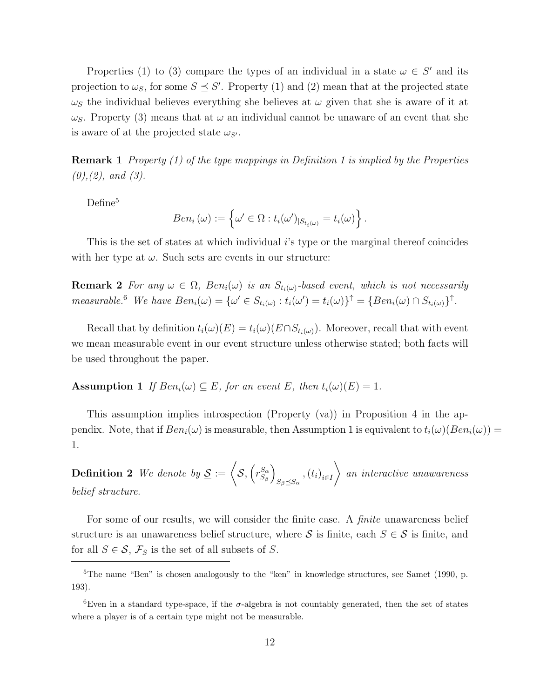Properties (1) to (3) compare the types of an individual in a state  $\omega \in S'$  and its projection to  $\omega_s$ , for some  $S \preceq S'$ . Property (1) and (2) mean that at the projected state  $\omega_S$  the individual believes everything she believes at  $\omega$  given that she is aware of it at  $\omega$ <sub>S</sub>. Property (3) means that at  $\omega$  an individual cannot be unaware of an event that she is aware of at the projected state  $\omega_{S'}$ .

**Remark 1** Property  $(1)$  of the type mappings in Definition 1 is implied by the Properties  $(0), (2), \text{ and } (3).$ 

 $Define<sup>5</sup>$ 

$$
Ben_i(\omega) := \left\{ \omega' \in \Omega : t_i(\omega')_{|S_{t_i(\omega)}} = t_i(\omega) \right\}.
$$

This is the set of states at which individual i's type or the marginal thereof coincides with her type at  $\omega$ . Such sets are events in our structure:

**Remark 2** For any  $\omega \in \Omega$ , Ben<sub>i</sub>( $\omega$ ) is an  $S_{t_i(\omega)}$ -based event, which is not necessarily measurable.<sup>6</sup> We have  $Ben_i(\omega) = {\{\omega' \in S_{t_i(\omega)} : t_i(\omega') = t_i(\omega)\}}^{\uparrow} = {Ben_i(\omega) \cap S_{t_i(\omega)}\}}^{\uparrow}.$ 

Recall that by definition  $t_i(\omega)(E) = t_i(\omega)(E \cap S_{t_i(\omega)})$ . Moreover, recall that with event we mean measurable event in our event structure unless otherwise stated; both facts will be used throughout the paper.

Assumption 1 If  $Ben_i(\omega) \subseteq E$ , for an event E, then  $t_i(\omega)(E) = 1$ .

This assumption implies introspection (Property (va)) in Proposition 4 in the appendix. Note, that if  $Ben_i(\omega)$  is measurable, then Assumption 1 is equivalent to  $t_i(\omega)(Ben_i(\omega)) =$ 1.

**Definition 2** We denote by  $S = \langle S, (r_{S_s}^{S_s}) \rangle$  $S_{\beta}$  $\setminus$  $S_{\beta \preceq S_{\alpha}}$ ,  $(t_i)_{i \in I}$  $\setminus$ an interactive unawareness belief structure.

For some of our results, we will consider the finite case. A *finite* unawareness belief structure is an unawareness belief structure, where S is finite, each  $S \in \mathcal{S}$  is finite, and for all  $S \in \mathcal{S}, \mathcal{F}_S$  is the set of all subsets of S.

<sup>&</sup>lt;sup>5</sup>The name "Ben" is chosen analogously to the "ken" in knowledge structures, see Samet (1990, p. 193).

<sup>&</sup>lt;sup>6</sup>Even in a standard type-space, if the  $\sigma$ -algebra is not countably generated, then the set of states where a player is of a certain type might not be measurable.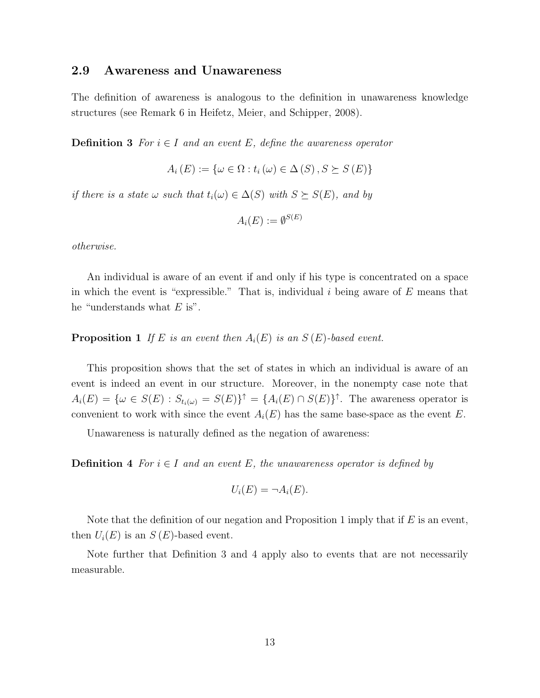#### 2.9 Awareness and Unawareness

The definition of awareness is analogous to the definition in unawareness knowledge structures (see Remark 6 in Heifetz, Meier, and Schipper, 2008).

**Definition 3** For  $i \in I$  and an event E, define the awareness operator

$$
A_{i}(E) := \{ \omega \in \Omega : t_{i}(\omega) \in \Delta(S), S \succeq S(E) \}
$$

if there is a state  $\omega$  such that  $t_i(\omega) \in \Delta(S)$  with  $S \succeq S(E)$ , and by

$$
A_i(E) := \emptyset^{S(E)}
$$

otherwise.

An individual is aware of an event if and only if his type is concentrated on a space in which the event is "expressible." That is, individual  $i$  being aware of  $E$  means that he "understands what  $E$  is".

**Proposition 1** If E is an event then  $A_i(E)$  is an  $S(E)$ -based event.

This proposition shows that the set of states in which an individual is aware of an event is indeed an event in our structure. Moreover, in the nonempty case note that  $A_i(E) = \{ \omega \in S(E) : S_{t_i(\omega)} = S(E) \}^{\dagger} = \{ A_i(E) \cap S(E) \}^{\dagger}$ . The awareness operator is convenient to work with since the event  $A_i(E)$  has the same base-space as the event E.

Unawareness is naturally defined as the negation of awareness:

**Definition 4** For  $i \in I$  and an event E, the unawareness operator is defined by

$$
U_i(E) = \neg A_i(E).
$$

Note that the definition of our negation and Proposition 1 imply that if  $E$  is an event, then  $U_i(E)$  is an  $S(E)$ -based event.

Note further that Definition 3 and 4 apply also to events that are not necessarily measurable.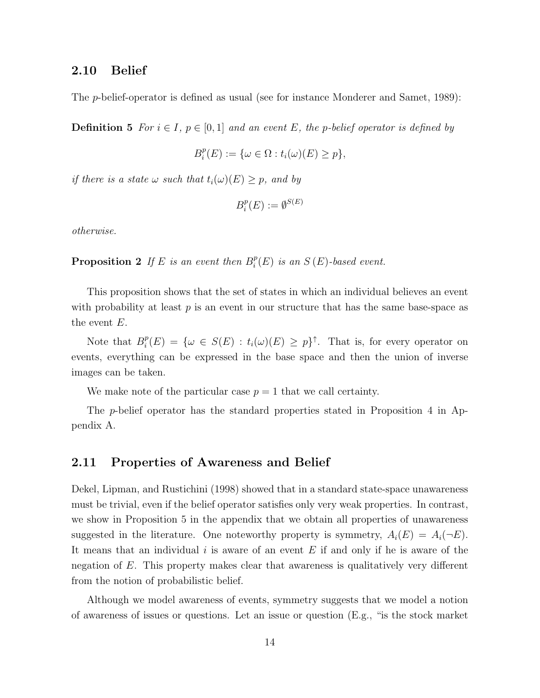#### 2.10 Belief

The p-belief-operator is defined as usual (see for instance Monderer and Samet, 1989):

**Definition 5** For  $i \in I$ ,  $p \in [0,1]$  and an event E, the p-belief operator is defined by

$$
B_i^p(E) := \{ \omega \in \Omega : t_i(\omega)(E) \ge p \},
$$

if there is a state  $\omega$  such that  $t_i(\omega)(E) \geq p$ , and by

$$
B_i^p(E) := \emptyset^{S(E)}
$$

otherwise.

**Proposition 2** If E is an event then  $B_i^p$  $i(E)$  is an  $S(E)$ -based event.

This proposition shows that the set of states in which an individual believes an event with probability at least  $p$  is an event in our structure that has the same base-space as the event  $E$ .

Note that  $B_i^p$  $i(E) = {\omega \in S(E) : t_i(\omega)(E) \ge p}^{\uparrow}$ . That is, for every operator on events, everything can be expressed in the base space and then the union of inverse images can be taken.

We make note of the particular case  $p = 1$  that we call certainty.

The p-belief operator has the standard properties stated in Proposition 4 in Appendix A.

#### 2.11 Properties of Awareness and Belief

Dekel, Lipman, and Rustichini (1998) showed that in a standard state-space unawareness must be trivial, even if the belief operator satisfies only very weak properties. In contrast, we show in Proposition 5 in the appendix that we obtain all properties of unawareness suggested in the literature. One noteworthy property is symmetry,  $A_i(E) = A_i(\neg E)$ . It means that an individual  $i$  is aware of an event  $E$  if and only if he is aware of the negation of E. This property makes clear that awareness is qualitatively very different from the notion of probabilistic belief.

Although we model awareness of events, symmetry suggests that we model a notion of awareness of issues or questions. Let an issue or question (E.g., "is the stock market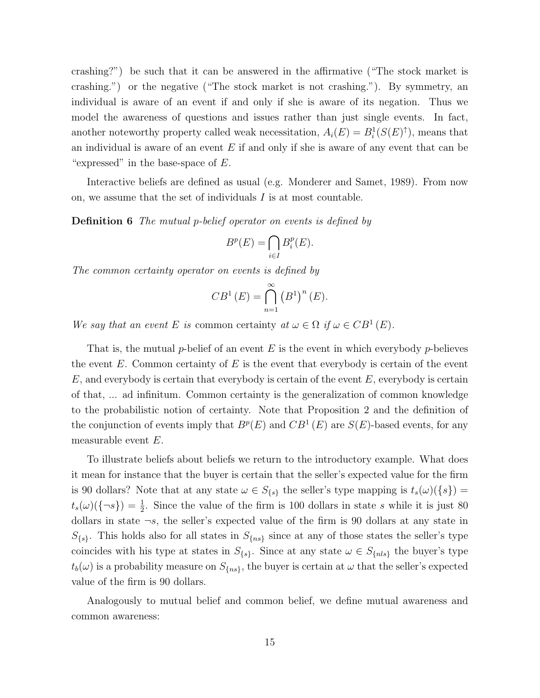crashing?") be such that it can be answered in the affirmative ("The stock market is crashing.") or the negative ("The stock market is not crashing."). By symmetry, an individual is aware of an event if and only if she is aware of its negation. Thus we model the awareness of questions and issues rather than just single events. In fact, another noteworthy property called weak necessitation,  $A_i(E) = B_i^1(S(E)^{\uparrow})$ , means that an individual is aware of an event  $E$  if and only if she is aware of any event that can be "expressed" in the base-space of  $E$ .

Interactive beliefs are defined as usual (e.g. Monderer and Samet, 1989). From now on, we assume that the set of individuals  $I$  is at most countable.

**Definition 6** The mutual p-belief operator on events is defined by

$$
B^p(E) = \bigcap_{i \in I} B_i^p(E).
$$

The common certainty operator on events is defined by

$$
CB^{1}(E) = \bigcap_{n=1}^{\infty} (B^{1})^{n}(E).
$$

We say that an event E is common certainty at  $\omega \in \Omega$  if  $\omega \in CB^1(E)$ .

That is, the mutual p-belief of an event E is the event in which everybody p-believes the event  $E$ . Common certainty of  $E$  is the event that everybody is certain of the event  $E$ , and everybody is certain that everybody is certain of the event  $E$ , everybody is certain of that, ... ad infinitum. Common certainty is the generalization of common knowledge to the probabilistic notion of certainty. Note that Proposition 2 and the definition of the conjunction of events imply that  $B^p(E)$  and  $CB^1(E)$  are  $S(E)$ -based events, for any measurable event E.

To illustrate beliefs about beliefs we return to the introductory example. What does it mean for instance that the buyer is certain that the seller's expected value for the firm is 90 dollars? Note that at any state  $\omega \in S_{\{s\}}$  the seller's type mapping is  $t_s(\omega)(\{s\}) =$  $t_s(\omega)(\{-s\}) = \frac{1}{2}$ . Since the value of the firm is 100 dollars in state s while it is just 80 dollars in state  $\neg s$ , the seller's expected value of the firm is 90 dollars at any state in  $S_{\{s\}}$ . This holds also for all states in  $S_{\{ns\}}$  since at any of those states the seller's type coincides with his type at states in  $S_{\{s\}}$ . Since at any state  $\omega \in S_{\{nls\}}$  the buyer's type  $t_b(\omega)$  is a probability measure on  $S_{\{ns\}}$ , the buyer is certain at  $\omega$  that the seller's expected value of the firm is 90 dollars.

Analogously to mutual belief and common belief, we define mutual awareness and common awareness: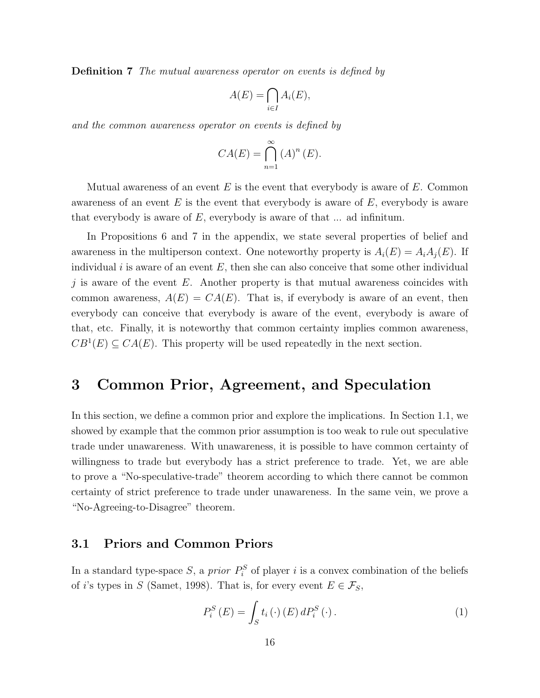**Definition 7** The mutual awareness operator on events is defined by

$$
A(E) = \bigcap_{i \in I} A_i(E),
$$

and the common awareness operator on events is defined by

$$
CA(E) = \bigcap_{n=1}^{\infty} (A)^n (E).
$$

Mutual awareness of an event  $E$  is the event that everybody is aware of  $E$ . Common awareness of an event  $E$  is the event that everybody is aware of  $E$ , everybody is aware that everybody is aware of  $E$ , everybody is aware of that  $\ldots$  ad infinitum.

In Propositions 6 and 7 in the appendix, we state several properties of belief and awareness in the multiperson context. One noteworthy property is  $A_i(E) = A_i A_j(E)$ . If individual  $i$  is aware of an event  $E$ , then she can also conceive that some other individual j is aware of the event  $E$ . Another property is that mutual awareness coincides with common awareness,  $A(E) = CA(E)$ . That is, if everybody is aware of an event, then everybody can conceive that everybody is aware of the event, everybody is aware of that, etc. Finally, it is noteworthy that common certainty implies common awareness,  $CB^1(E) \subseteq CA(E)$ . This property will be used repeatedly in the next section.

## 3 Common Prior, Agreement, and Speculation

In this section, we define a common prior and explore the implications. In Section 1.1, we showed by example that the common prior assumption is too weak to rule out speculative trade under unawareness. With unawareness, it is possible to have common certainty of willingness to trade but everybody has a strict preference to trade. Yet, we are able to prove a "No-speculative-trade" theorem according to which there cannot be common certainty of strict preference to trade under unawareness. In the same vein, we prove a "No-Agreeing-to-Disagree" theorem.

#### 3.1 Priors and Common Priors

In a standard type-space S, a *prior*  $P_i^S$  of player i is a convex combination of the beliefs of i's types in S (Samet, 1998). That is, for every event  $E \in \mathcal{F}_S$ ,

$$
P_i^S(E) = \int_S t_i(\cdot) (E) dP_i^S(\cdot).
$$
 (1)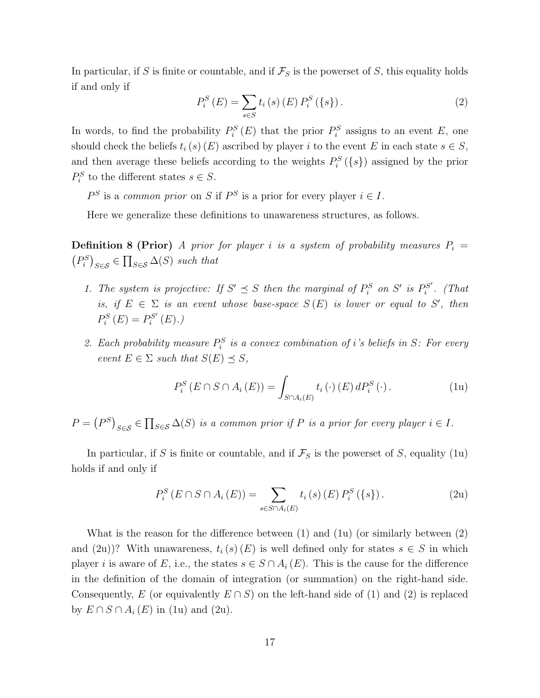In particular, if S is finite or countable, and if  $\mathcal{F}_S$  is the powerset of S, this equality holds if and only if

$$
P_i^S(E) = \sum_{s \in S} t_i(s) (E) P_i^S(\{s\}).
$$
 (2)

In words, to find the probability  $P_i^S(E)$  that the prior  $P_i^S$  assigns to an event E, one should check the beliefs  $t_i(s)$  (E) ascribed by player i to the event E in each state  $s \in S$ , and then average these beliefs according to the weights  $P_i^S(\lbrace s \rbrace)$  assigned by the prior  $P_i^S$  to the different states  $s \in S$ .

 $P<sup>S</sup>$  is a common prior on S if  $P<sup>S</sup>$  is a prior for every player  $i \in I$ .

Here we generalize these definitions to unawareness structures, as follows.

**Definition 8 (Prior)** A prior for player i is a system of probability measures  $P_i =$  $(P_i^S)_{S \in \mathcal{S}} \in \prod_{S \in \mathcal{S}} \Delta(S)$  such that

- 1. The system is projective: If  $S' \preceq S$  then the marginal of  $P_i^S$  on  $S'$  is  $P_i^{S'}$  $\mathcal{C}^{S'}_i$ . (That is, if  $E \in \Sigma$  is an event whose base-space  $S(E)$  is lower or equal to S', then  $P_i^S(E) = P_i^{S'}$  $\mathfrak{h}^{S'}_i\left(E\right)$ .)
- 2. Each probability measure  $P_i^S$  is a convex combination of i's beliefs in S: For every event  $E \in \Sigma$  such that  $S(E) \preceq S$ ,

$$
P_i^S(E \cap S \cap A_i(E)) = \int_{S \cap A_i(E)} t_i(\cdot) (E) dP_i^S(\cdot).
$$
 (1u)

 $P = (P^S)_{S \in \mathcal{S}} \in \prod_{S \in \mathcal{S}} \Delta(S)$  is a common prior if P is a prior for every player  $i \in I$ .

In particular, if S is finite or countable, and if  $\mathcal{F}_S$  is the powerset of S, equality (1u) holds if and only if

$$
P_i^S(E \cap S \cap A_i(E)) = \sum_{s \in S \cap A_i(E)} t_i(s) (E) P_i^S(\{s\}).
$$
 (2u)

What is the reason for the difference between  $(1)$  and  $(1u)$  (or similarly between  $(2)$ ) and (2u))? With unawareness,  $t_i(s)(E)$  is well defined only for states  $s \in S$  in which player i is aware of E, i.e., the states  $s \in S \cap A_i(E)$ . This is the cause for the difference in the definition of the domain of integration (or summation) on the right-hand side. Consequently, E (or equivalently  $E \cap S$ ) on the left-hand side of (1) and (2) is replaced by  $E \cap S \cap A_i(E)$  in (1u) and (2u).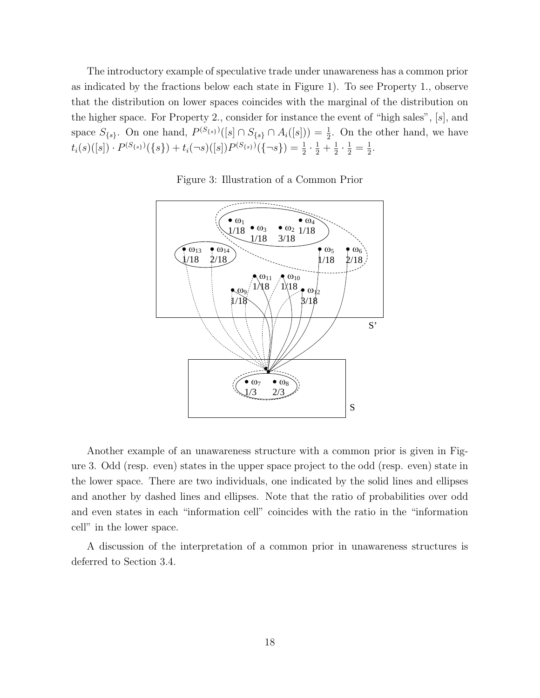The introductory example of speculative trade under unawareness has a common prior as indicated by the fractions below each state in Figure 1). To see Property 1., observe that the distribution on lower spaces coincides with the marginal of the distribution on the higher space. For Property 2., consider for instance the event of "high sales", [s], and space  $S_{\{s\}}$ . On one hand,  $P^{(S_{\{s\}})}([s] \cap S_{\{s\}} \cap A_i([s])) = \frac{1}{2}$ . On the other hand, we have  $t_i(s)([s]) \cdot P^{(S_{\{s\}})}(\{s\}) + t_i(\neg s)([s]) P^{(S_{\{s\}})}(\{\neg s\}) = \frac{1}{2} \cdot \frac{1}{2} + \frac{1}{2}$  $\frac{1}{2} \cdot \frac{1}{2} = \frac{1}{2}$  $\frac{1}{2}$ .



Figure 3: Illustration of a Common Prior

Another example of an unawareness structure with a common prior is given in Figure 3. Odd (resp. even) states in the upper space project to the odd (resp. even) state in the lower space. There are two individuals, one indicated by the solid lines and ellipses and another by dashed lines and ellipses. Note that the ratio of probabilities over odd and even states in each "information cell" coincides with the ratio in the "information cell" in the lower space.

A discussion of the interpretation of a common prior in unawareness structures is deferred to Section 3.4.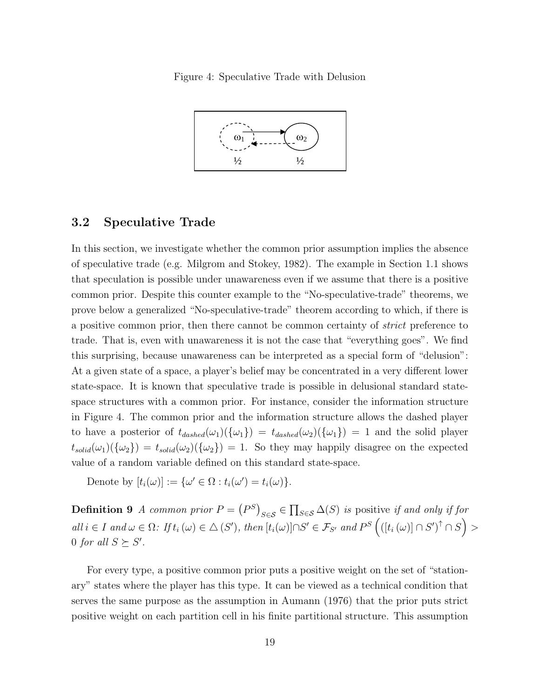Figure 4: Speculative Trade with Delusion



### 3.2 Speculative Trade

In this section, we investigate whether the common prior assumption implies the absence of speculative trade (e.g. Milgrom and Stokey, 1982). The example in Section 1.1 shows that speculation is possible under unawareness even if we assume that there is a positive common prior. Despite this counter example to the "No-speculative-trade" theorems, we prove below a generalized "No-speculative-trade" theorem according to which, if there is a positive common prior, then there cannot be common certainty of strict preference to trade. That is, even with unawareness it is not the case that "everything goes". We find this surprising, because unawareness can be interpreted as a special form of "delusion": At a given state of a space, a player's belief may be concentrated in a very different lower state-space. It is known that speculative trade is possible in delusional standard statespace structures with a common prior. For instance, consider the information structure in Figure 4. The common prior and the information structure allows the dashed player to have a posterior of  $t_{dashed}(\omega_1)(\{\omega_1\}) = t_{dashed}(\omega_2)(\{\omega_1\}) = 1$  and the solid player  $t_{solid}(\omega_1)(\{\omega_2\}) = t_{solid}(\omega_2)(\{\omega_2\}) = 1$ . So they may happily disagree on the expected value of a random variable defined on this standard state-space.

Denote by  $[t_i(\omega)] := {\omega' \in \Omega : t_i(\omega') = t_i(\omega)}.$ 

**Definition 9** A common prior  $P = (P^S)_{S \in \mathcal{S}} \in \prod_{S \in \mathcal{S}} \Delta(S)$  is positive if and only if for  $all i \in I \text{ and } \omega \in \Omega$ : If  $t_i(\omega) \in \Delta(S')$ , then  $[t_i(\omega)] \cap S' \in \mathcal{F}_{S'}$  and  $P^S(([t_i(\omega)] \cap S')^{\uparrow} \cap S)$ 0 for all  $S \succeq S'$ .

For every type, a positive common prior puts a positive weight on the set of "stationary" states where the player has this type. It can be viewed as a technical condition that serves the same purpose as the assumption in Aumann (1976) that the prior puts strict positive weight on each partition cell in his finite partitional structure. This assumption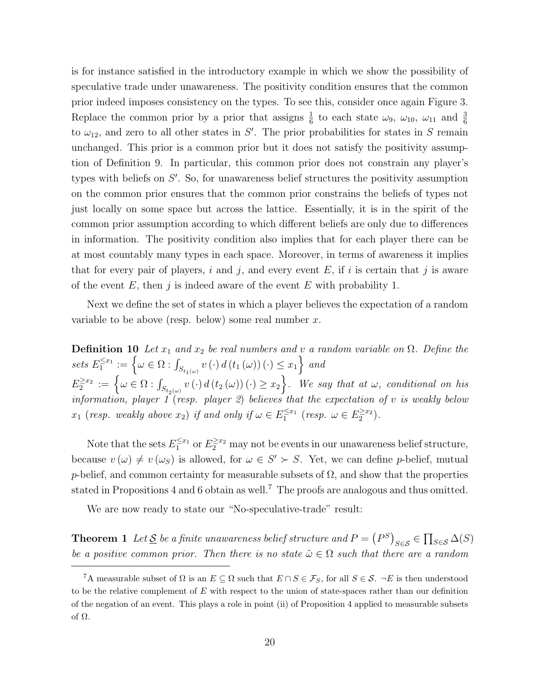is for instance satisfied in the introductory example in which we show the possibility of speculative trade under unawareness. The positivity condition ensures that the common prior indeed imposes consistency on the types. To see this, consider once again Figure 3. Replace the common prior by a prior that assigns  $\frac{1}{6}$  to each state  $\omega_9$ ,  $\omega_{10}$ ,  $\omega_{11}$  and  $\frac{3}{6}$ to  $\omega_{12}$ , and zero to all other states in S'. The prior probabilities for states in S remain unchanged. This prior is a common prior but it does not satisfy the positivity assumption of Definition 9. In particular, this common prior does not constrain any player's types with beliefs on  $S'$ . So, for unawareness belief structures the positivity assumption on the common prior ensures that the common prior constrains the beliefs of types not just locally on some space but across the lattice. Essentially, it is in the spirit of the common prior assumption according to which different beliefs are only due to differences in information. The positivity condition also implies that for each player there can be at most countably many types in each space. Moreover, in terms of awareness it implies that for every pair of players, i and j, and every event  $E$ , if i is certain that j is aware of the event  $E$ , then j is indeed aware of the event  $E$  with probability 1.

Next we define the set of states in which a player believes the expectation of a random variable to be above (resp. below) some real number  $x$ .

**Definition 10** Let  $x_1$  and  $x_2$  be real numbers and v a random variable on  $\Omega$ . Define the sets  $E_1^{\leq x_1} := \left\{ \omega \in \Omega : \int_{S_{t_1(\omega)}} v(\cdot) d(t_1(\omega))(\cdot) \leq x_1 \right\}$  and  $E_2^{\geq x_2} := \left\{ \omega \in \Omega : \int_{S_{t_2(\omega)}} v(\cdot) d(t_2(\omega)) (\cdot) \geq x_2 \right\}$ . We say that at  $\omega$ , conditional on his information, player 1 (resp. player 2) believes that the expectation of v is weakly below  $x_1$  (resp. weakly above  $x_2$ ) if and only if  $\omega \in E_1^{\leq x_1}$  (resp.  $\omega \in E_2^{\geq x_2}$ ).

Note that the sets  $E_1^{\leq x_1}$  or  $E_2^{\geq x_2}$  may not be events in our unawareness belief structure, because  $v(\omega) \neq v(\omega_s)$  is allowed, for  $\omega \in S' \succ S$ . Yet, we can define p-belief, mutual p-belief, and common certainty for measurable subsets of  $\Omega$ , and show that the properties stated in Propositions 4 and 6 obtain as well.<sup>7</sup> The proofs are analogous and thus omitted.

We are now ready to state our "No-speculative-trade" result:

**Theorem 1** Let <u>S</u> be a finite unawareness belief structure and  $P = (P^S)_{S \in \mathcal{S}} \in \prod_{S \in \mathcal{S}} \Delta(S)$ be a positive common prior. Then there is no state  $\tilde{\omega} \in \Omega$  such that there are a random

<sup>&</sup>lt;sup>7</sup>A measurable subset of  $\Omega$  is an  $E \subseteq \Omega$  such that  $E \cap S \in \mathcal{F}_S$ , for all  $S \in \mathcal{S}$ .  $\neg E$  is then understood to be the relative complement of  $E$  with respect to the union of state-spaces rather than our definition of the negation of an event. This plays a role in point (ii) of Proposition 4 applied to measurable subsets of Ω.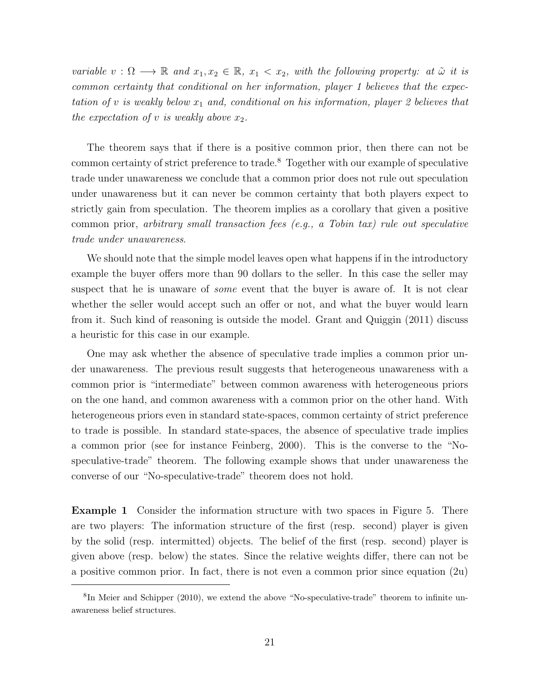variable  $v : \Omega \longrightarrow \mathbb{R}$  and  $x_1, x_2 \in \mathbb{R}$ ,  $x_1 < x_2$ , with the following property: at  $\tilde{\omega}$  it is common certainty that conditional on her information, player 1 believes that the expectation of v is weakly below  $x_1$  and, conditional on his information, player 2 believes that the expectation of v is weakly above  $x_2$ .

The theorem says that if there is a positive common prior, then there can not be common certainty of strict preference to trade.<sup>8</sup> Together with our example of speculative trade under unawareness we conclude that a common prior does not rule out speculation under unawareness but it can never be common certainty that both players expect to strictly gain from speculation. The theorem implies as a corollary that given a positive common prior, arbitrary small transaction fees (e.g., a Tobin tax) rule out speculative trade under unawareness.

We should note that the simple model leaves open what happens if in the introductory example the buyer offers more than 90 dollars to the seller. In this case the seller may suspect that he is unaware of *some* event that the buyer is aware of. It is not clear whether the seller would accept such an offer or not, and what the buyer would learn from it. Such kind of reasoning is outside the model. Grant and Quiggin (2011) discuss a heuristic for this case in our example.

One may ask whether the absence of speculative trade implies a common prior under unawareness. The previous result suggests that heterogeneous unawareness with a common prior is "intermediate" between common awareness with heterogeneous priors on the one hand, and common awareness with a common prior on the other hand. With heterogeneous priors even in standard state-spaces, common certainty of strict preference to trade is possible. In standard state-spaces, the absence of speculative trade implies a common prior (see for instance Feinberg, 2000). This is the converse to the "Nospeculative-trade" theorem. The following example shows that under unawareness the converse of our "No-speculative-trade" theorem does not hold.

Example 1 Consider the information structure with two spaces in Figure 5. There are two players: The information structure of the first (resp. second) player is given by the solid (resp. intermitted) objects. The belief of the first (resp. second) player is given above (resp. below) the states. Since the relative weights differ, there can not be a positive common prior. In fact, there is not even a common prior since equation (2u)

<sup>&</sup>lt;sup>8</sup>In Meier and Schipper (2010), we extend the above "No-speculative-trade" theorem to infinite unawareness belief structures.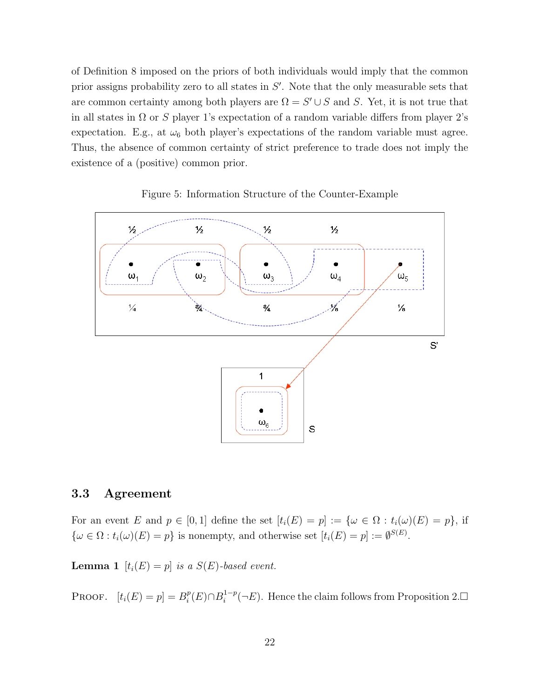of Definition 8 imposed on the priors of both individuals would imply that the common prior assigns probability zero to all states in  $S'$ . Note that the only measurable sets that are common certainty among both players are  $\Omega = S' \cup S$  and S. Yet, it is not true that in all states in  $\Omega$  or S player 1's expectation of a random variable differs from player 2's expectation. E.g., at  $\omega_6$  both player's expectations of the random variable must agree. Thus, the absence of common certainty of strict preference to trade does not imply the existence of a (positive) common prior.



Figure 5: Information Structure of the Counter-Example

#### 3.3 Agreement

For an event E and  $p \in [0,1]$  define the set  $[t_i(E) = p] := {\omega \in \Omega : t_i(\omega)(E) = p}$ , if  $\{\omega \in \Omega : t_i(\omega)(E) = p\}$  is nonempty, and otherwise set  $[t_i(E) = p] := \emptyset^{S(E)}$ .

**Lemma 1**  $[t_i(E) = p]$  is a  $S(E)$ -based event.

PROOF.  $[t_i(E) = p] = B_i^p$  $i^p(E) \cap B_i^{1-p}$  $i^{1-p}(\neg E)$ . Hence the claim follows from Proposition 2. $\Box$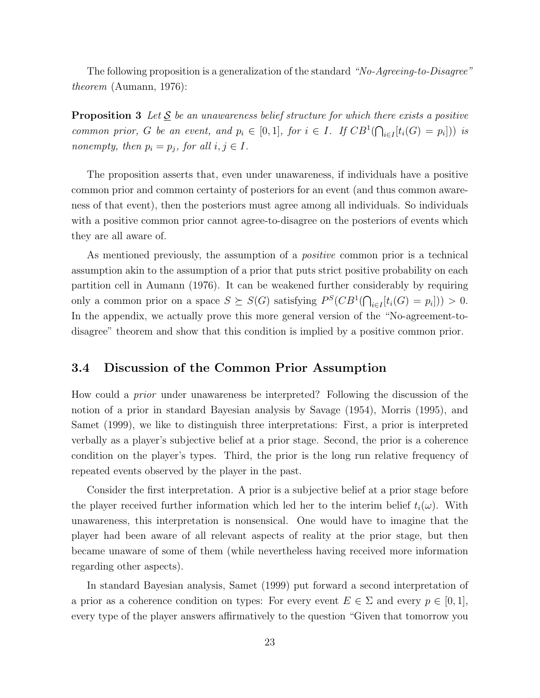The following proposition is a generalization of the standard "No-Agreeing-to-Disagree" theorem (Aumann, 1976):

**Proposition 3** Let  $\underline{S}$  be an unawareness belief structure for which there exists a positive common prior, G be an event, and  $p_i \in [0,1]$ , for  $i \in I$ . If  $CB^1(\bigcap_{i \in I} [t_i(G) = p_i])$  is nonempty, then  $p_i = p_j$ , for all  $i, j \in I$ .

The proposition asserts that, even under unawareness, if individuals have a positive common prior and common certainty of posteriors for an event (and thus common awareness of that event), then the posteriors must agree among all individuals. So individuals with a positive common prior cannot agree-to-disagree on the posteriors of events which they are all aware of.

As mentioned previously, the assumption of a *positive* common prior is a technical assumption akin to the assumption of a prior that puts strict positive probability on each partition cell in Aumann (1976). It can be weakened further considerably by requiring only a common prior on a space  $S \succeq S(G)$  satisfying  $P^S(CB^1(\bigcap_{i \in I} [t_i(G) = p_i])) > 0$ . In the appendix, we actually prove this more general version of the "No-agreement-todisagree" theorem and show that this condition is implied by a positive common prior.

### 3.4 Discussion of the Common Prior Assumption

How could a prior under unawareness be interpreted? Following the discussion of the notion of a prior in standard Bayesian analysis by Savage (1954), Morris (1995), and Samet (1999), we like to distinguish three interpretations: First, a prior is interpreted verbally as a player's subjective belief at a prior stage. Second, the prior is a coherence condition on the player's types. Third, the prior is the long run relative frequency of repeated events observed by the player in the past.

Consider the first interpretation. A prior is a subjective belief at a prior stage before the player received further information which led her to the interim belief  $t_i(\omega)$ . With unawareness, this interpretation is nonsensical. One would have to imagine that the player had been aware of all relevant aspects of reality at the prior stage, but then became unaware of some of them (while nevertheless having received more information regarding other aspects).

In standard Bayesian analysis, Samet (1999) put forward a second interpretation of a prior as a coherence condition on types: For every event  $E \in \Sigma$  and every  $p \in [0,1]$ , every type of the player answers affirmatively to the question "Given that tomorrow you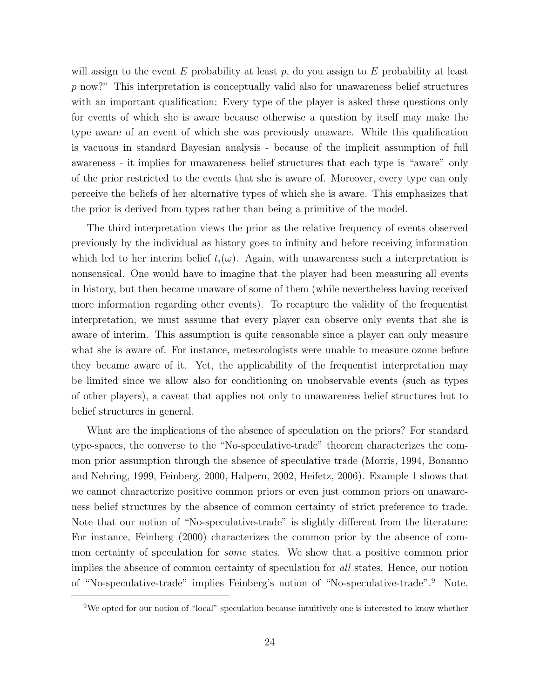will assign to the event E probability at least  $p$ , do you assign to E probability at least p now?" This interpretation is conceptually valid also for unawareness belief structures with an important qualification: Every type of the player is asked these questions only for events of which she is aware because otherwise a question by itself may make the type aware of an event of which she was previously unaware. While this qualification is vacuous in standard Bayesian analysis - because of the implicit assumption of full awareness - it implies for unawareness belief structures that each type is "aware" only of the prior restricted to the events that she is aware of. Moreover, every type can only perceive the beliefs of her alternative types of which she is aware. This emphasizes that the prior is derived from types rather than being a primitive of the model.

The third interpretation views the prior as the relative frequency of events observed previously by the individual as history goes to infinity and before receiving information which led to her interim belief  $t_i(\omega)$ . Again, with unawareness such a interpretation is nonsensical. One would have to imagine that the player had been measuring all events in history, but then became unaware of some of them (while nevertheless having received more information regarding other events). To recapture the validity of the frequentist interpretation, we must assume that every player can observe only events that she is aware of interim. This assumption is quite reasonable since a player can only measure what she is aware of. For instance, meteorologists were unable to measure ozone before they became aware of it. Yet, the applicability of the frequentist interpretation may be limited since we allow also for conditioning on unobservable events (such as types of other players), a caveat that applies not only to unawareness belief structures but to belief structures in general.

What are the implications of the absence of speculation on the priors? For standard type-spaces, the converse to the "No-speculative-trade" theorem characterizes the common prior assumption through the absence of speculative trade (Morris, 1994, Bonanno and Nehring, 1999, Feinberg, 2000, Halpern, 2002, Heifetz, 2006). Example 1 shows that we cannot characterize positive common priors or even just common priors on unawareness belief structures by the absence of common certainty of strict preference to trade. Note that our notion of "No-speculative-trade" is slightly different from the literature: For instance, Feinberg (2000) characterizes the common prior by the absence of common certainty of speculation for some states. We show that a positive common prior implies the absence of common certainty of speculation for all states. Hence, our notion of "No-speculative-trade" implies Feinberg's notion of "No-speculative-trade".<sup>9</sup> Note,

<sup>9</sup>We opted for our notion of "local" speculation because intuitively one is interested to know whether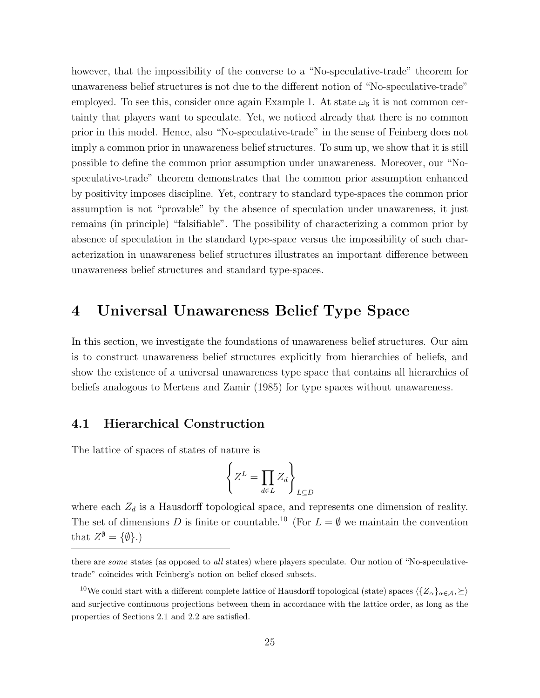however, that the impossibility of the converse to a "No-speculative-trade" theorem for unawareness belief structures is not due to the different notion of "No-speculative-trade" employed. To see this, consider once again Example 1. At state  $\omega_6$  it is not common certainty that players want to speculate. Yet, we noticed already that there is no common prior in this model. Hence, also "No-speculative-trade" in the sense of Feinberg does not imply a common prior in unawareness belief structures. To sum up, we show that it is still possible to define the common prior assumption under unawareness. Moreover, our "Nospeculative-trade" theorem demonstrates that the common prior assumption enhanced by positivity imposes discipline. Yet, contrary to standard type-spaces the common prior assumption is not "provable" by the absence of speculation under unawareness, it just remains (in principle) "falsifiable". The possibility of characterizing a common prior by absence of speculation in the standard type-space versus the impossibility of such characterization in unawareness belief structures illustrates an important difference between unawareness belief structures and standard type-spaces.

## 4 Universal Unawareness Belief Type Space

In this section, we investigate the foundations of unawareness belief structures. Our aim is to construct unawareness belief structures explicitly from hierarchies of beliefs, and show the existence of a universal unawareness type space that contains all hierarchies of beliefs analogous to Mertens and Zamir (1985) for type spaces without unawareness.

## 4.1 Hierarchical Construction

The lattice of spaces of states of nature is

$$
\left\{ Z^L = \prod_{d \in L} Z_d \right\}_{L \subseteq D}
$$

where each  $Z_d$  is a Hausdorff topological space, and represents one dimension of reality. The set of dimensions D is finite or countable.<sup>10</sup> (For  $L = \emptyset$  we maintain the convention that  $Z^{\emptyset} = {\emptyset}.$ 

there are some states (as opposed to all states) where players speculate. Our notion of "No-speculativetrade" coincides with Feinberg's notion on belief closed subsets.

<sup>&</sup>lt;sup>10</sup>We could start with a different complete lattice of Hausdorff topological (state) spaces  $\langle \{Z_\alpha\}_{\alpha\in\mathcal{A}},\succeq\rangle$ and surjective continuous projections between them in accordance with the lattice order, as long as the properties of Sections 2.1 and 2.2 are satisfied.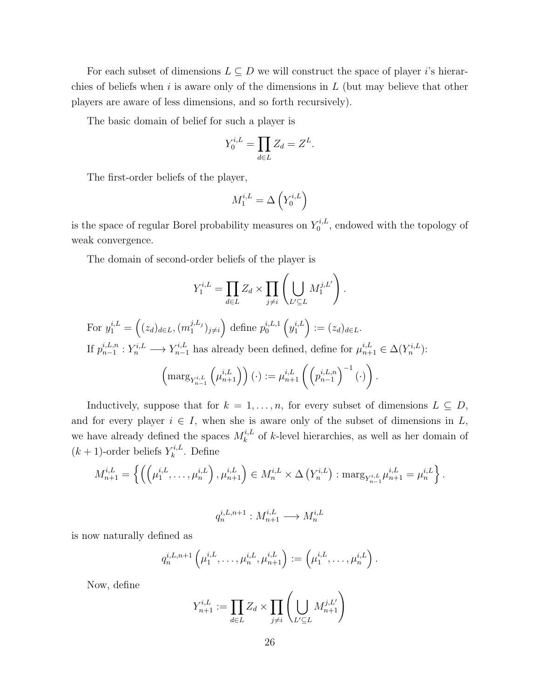For each subset of dimensions  $L \subseteq D$  we will construct the space of player i's hierarchies of beliefs when  $i$  is aware only of the dimensions in  $L$  (but may believe that other players are aware of less dimensions, and so forth recursively).

The basic domain of belief for such a player is

$$
Y_0^{i,L} = \prod_{d \in L} Z_d = Z^L.
$$

The first-order beliefs of the player,

$$
M_1^{i,L} = \Delta\left(Y_0^{i,L}\right)
$$

is the space of regular Borel probability measures on  $Y_0^{i,L}$  $C_0^{i,L}$ , endowed with the topology of weak convergence.

The domain of second-order beliefs of the player is

$$
Y_1^{i,L} = \prod_{d \in L} Z_d \times \prod_{j \neq i} \left( \bigcup_{L' \subseteq L} M_1^{j,L'} \right).
$$
  
For  $y_1^{i,L} = \left( (z_d)_{d \in L}, (m_1^{j,L_j})_{j \neq i} \right)$  define  $p_0^{i,L,1} \left( y_1^{i,L} \right) := (z_d)_{d \in L}.$   
If  $p_{n-1}^{i,L,n} : Y_n^{i,L} \longrightarrow Y_{n-1}^{i,L}$  has already been defined, define for  $\mu_{n+1}^{i,L} \in \Delta(Y_n^{i,L})$ :  

$$
\left( \max_{k=1}^{i,L} \left( \mu_{n+1}^{i,L} \right) \right) (\cdot) := \mu_{n+1}^{i,L} \left( \left( p_{n-1}^{i,L,n} \right)^{-1} (\cdot) \right).
$$

Inductively, suppose that for  $k = 1, \ldots, n$ , for every subset of dimensions  $L \subseteq D$ , and for every player  $i \in I$ , when she is aware only of the subset of dimensions in L, we have already defined the spaces  $M_k^{i,L}$  $\kappa_k^{i,L}$  of k-level hierarchies, as well as her domain of  $(k+1)$ -order beliefs  $Y_k^{i,L}$  $\zeta_k^{i,L}$ . Define

$$
M_{n+1}^{i,L} = \left\{ \left( \left( \mu_1^{i,L}, \ldots, \mu_n^{i,L} \right), \mu_{n+1}^{i,L} \right) \in M_n^{i,L} \times \Delta \left( Y_n^{i,L} \right) : \max_{Y_{n-1}^{i,L}} \mu_{n+1}^{i,L} = \mu_n^{i,L} \right\}.
$$

$$
q^{i,L,n+1}_n: M^{i,L}_{n+1} \longrightarrow M^{i,L}_n
$$

is now naturally defined as

$$
q_n^{i,L,n+1}\left(\mu_1^{i,L},\ldots,\mu_n^{i,L},\mu_{n+1}^{i,L}\right) := \left(\mu_1^{i,L},\ldots,\mu_n^{i,L}\right).
$$

Now, define

$$
Y_{n+1}^{i,L} := \prod_{d \in L} Z_d \times \prod_{j \neq i} \left( \bigcup_{L' \subseteq L} M_{n+1}^{j,L'} \right)
$$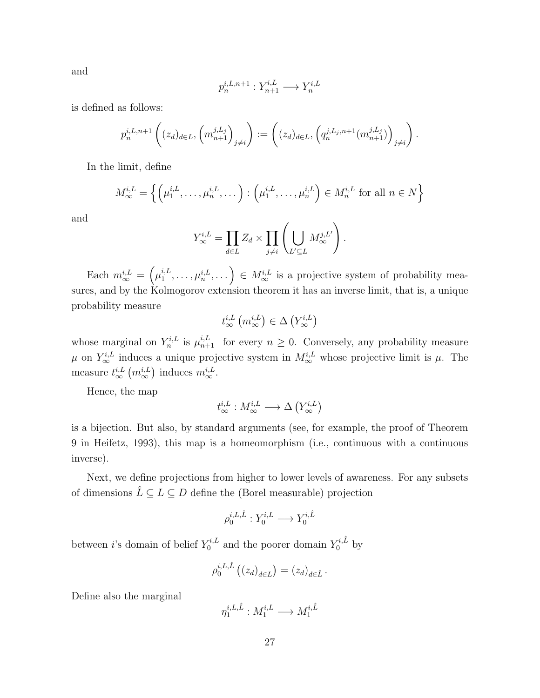and

$$
p_n^{i,L,n+1}:Y_{n+1}^{i,L}\longrightarrow Y_n^{i,L}
$$

is defined as follows:

$$
p_n^{i,L,n+1}\left((z_d)_{d\in L},\left(m_{n+1}^{j,L_j}\right)_{j\neq i}\right):=\left((z_d)_{d\in L},\left(q_n^{j,L_j,n+1}(m_{n+1}^{j,L_j})\right)_{j\neq i}\right).
$$

In the limit, define

$$
M_{\infty}^{i,L} = \left\{ \left( \mu_1^{i,L}, \dots, \mu_n^{i,L}, \dots \right) : \left( \mu_1^{i,L}, \dots, \mu_n^{i,L} \right) \in M_n^{i,L} \text{ for all } n \in N \right\}
$$

and

$$
Y_{\infty}^{i,L} = \prod_{d \in L} Z_d \times \prod_{j \neq i} \left( \bigcup_{L' \subseteq L} M_{\infty}^{j,L'} \right).
$$

Each  $m^{i,L}_{\infty} = (\mu_1^{i,L})$  $\left( \mu_1^{i,L}, \ldots, \mu_n^{i,L}, \ldots \right) \in M^{i,L}_{\infty}$  is a projective system of probability measures, and by the Kolmogorov extension theorem it has an inverse limit, that is, a unique probability measure

$$
t_{\infty}^{i,L} \left( m_{\infty}^{i,L} \right) \in \Delta \left( Y_{\infty}^{i,L} \right)
$$

whose marginal on  $Y_n^{i,L}$  is  $\mu_{n+1}^{i,L}$  for every  $n \geq 0$ . Conversely, any probability measure  $\mu$  on  $Y^{i,L}_{\infty}$  induces a unique projective system in  $M^{i,L}_{\infty}$  whose projective limit is  $\mu$ . The measure  $t_{\infty}^{i,L}$   $\left(m_{\infty}^{i,L}\right)$  induces  $m_{\infty}^{i,L}$ .

Hence, the map

$$
t_{\infty}^{i,L}:M_{\infty}^{i,L}\longrightarrow \Delta\left(Y_{\infty}^{i,L}\right)
$$

is a bijection. But also, by standard arguments (see, for example, the proof of Theorem 9 in Heifetz, 1993), this map is a homeomorphism (i.e., continuous with a continuous inverse).

Next, we define projections from higher to lower levels of awareness. For any subsets of dimensions  $\hat{L} \subseteq L \subseteq D$  define the (Borel measurable) projection

$$
\rho_0^{i,L,\hat{L}}: Y_0^{i,L} \longrightarrow Y_0^{i,\hat{L}}
$$

between *i*'s domain of belief  $Y_0^{i,L}$  $Y_0^{i,L}$  and the poorer domain  $Y_0^{i,\hat{L}}$  by

$$
\rho_0^{i,L,\hat{L}}\left((z_d)_{d\in L}\right)=(z_d)_{d\in\hat{L}}.
$$

Define also the marginal

$$
\eta_1^{i,L,\hat{L}}:M_1^{i,L}\longrightarrow M_1^{i,\hat{L}}
$$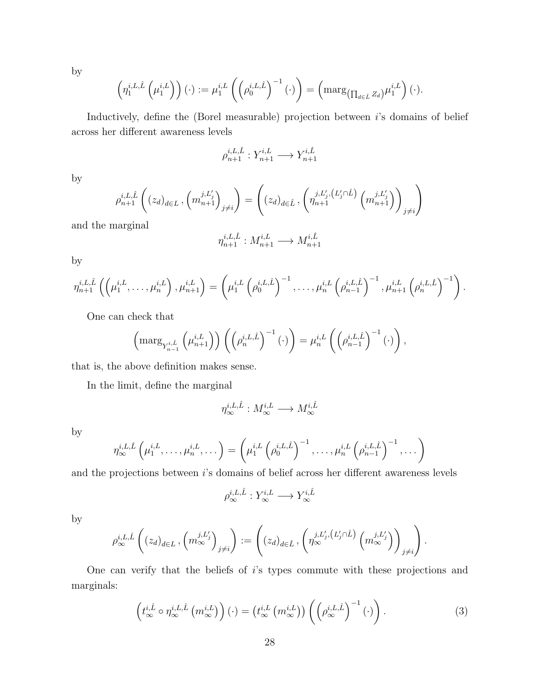by

$$
\left(\eta_1^{i,L,\hat{L}}\left(\mu_1^{i,L}\right)\right)(\cdot) := \mu_1^{i,L}\left(\left(\rho_0^{i,L,\hat{L}}\right)^{-1}(\cdot)\right) = \left(\max(\prod_{d \in \hat{L}} Z_d)\mu_1^{i,L}\right)(\cdot).
$$

Inductively, define the (Borel measurable) projection between  $i$ 's domains of belief across her different awareness levels

$$
\rho_{n+1}^{i,L,\hat{L}}: Y_{n+1}^{i,L} \longrightarrow Y_{n+1}^{i,\hat{L}}
$$

by

$$
\rho_{n+1}^{i,L,\hat{L}}\left(\left(z_d\right)_{d\in L},\left(m_{n+1}^{j,L_j'}\right)_{j\neq i}\right) = \left(\left(z_d\right)_{d\in \hat{L}},\left(\eta_{n+1}^{j,L_j'}\left(\frac{L_j'\cap \hat{L}}{m_{n+1}^{j}}\right)\left(\frac{m_{n+1}^{j,L_j'}}{m_{n+1}^{j}}\right)\right)_{j\neq i}\right)
$$

and the marginal

$$
\eta_{n+1}^{i,L,\hat{L}}: M_{n+1}^{i,L} \longrightarrow M_{n+1}^{i,\hat{L}}
$$

by

$$
\eta_{n+1}^{i,L,\hat{L}}\left( \left(\mu_1^{i,L}, \ldots, \mu_n^{i,L}\right), \mu_{n+1}^{i,L} \right) = \left(\mu_1^{i,L} \left(\rho_0^{i,L,\hat{L}}\right)^{-1}, \ldots, \mu_n^{i,L} \left(\rho_{n-1}^{i,L,\hat{L}}\right)^{-1}, \mu_{n+1}^{i,L} \left(\rho_n^{i,L,\hat{L}}\right)^{-1} \right).
$$

One can check that

$$
\left(\mathrm{marg}_{Y_{n-1}^{i,\hat{L}}}\left(\mu_{n+1}^{i,L}\right)\right)\left(\left(\rho_{n}^{i,L,\hat{L}}\right)^{-1}(\cdot)\right)=\mu_{n}^{i,L}\left(\left(\rho_{n-1}^{i,L,\hat{L}}\right)^{-1}(\cdot)\right),
$$

that is, the above definition makes sense.

In the limit, define the marginal

$$
\eta_{\infty}^{i,L,\hat{L}}: M_{\infty}^{i,L}\longrightarrow M_{\infty}^{i,\hat{L}}
$$

by

$$
\eta_{\infty}^{i,L,\hat{L}}\left(\mu_1^{i,L},\ldots,\mu_n^{i,L},\ldots\right)=\left(\mu_1^{i,L}\left(\rho_0^{i,L,\hat{L}}\right)^{-1},\ldots,\mu_n^{i,L}\left(\rho_{n-1}^{i,L,\hat{L}}\right)^{-1},\ldots\right)
$$

and the projections between  $i$ 's domains of belief across her different awareness levels

$$
\rho_{\infty}^{i,L,\hat{L}}: Y_{\infty}^{i,L} \longrightarrow Y_{\infty}^{i,\hat{L}}
$$

by

$$
\rho_{\infty}^{i,L,\hat{L}}\left((z_d)_{d\in L},\left(m_{\infty}^{j,L'_j}\right)_{j\neq i}\right):=\left((z_d)_{d\in \hat{L}},\left(\eta_{\infty}^{j,L'_j,(L'_j\cap \hat{L})}\left(m_{\infty}^{j,L'_j}\right)\right)_{j\neq i}\right).
$$

One can verify that the beliefs of i's types commute with these projections and marginals:

$$
\left(t_{\infty}^{i,\hat{L}} \circ \eta_{\infty}^{i,L,\hat{L}}\left(m_{\infty}^{i,L}\right)\right)(\cdot) = \left(t_{\infty}^{i,L}\left(m_{\infty}^{i,L}\right)\right) \left(\left(\rho_{\infty}^{i,L,\hat{L}}\right)^{-1}(\cdot)\right). \tag{3}
$$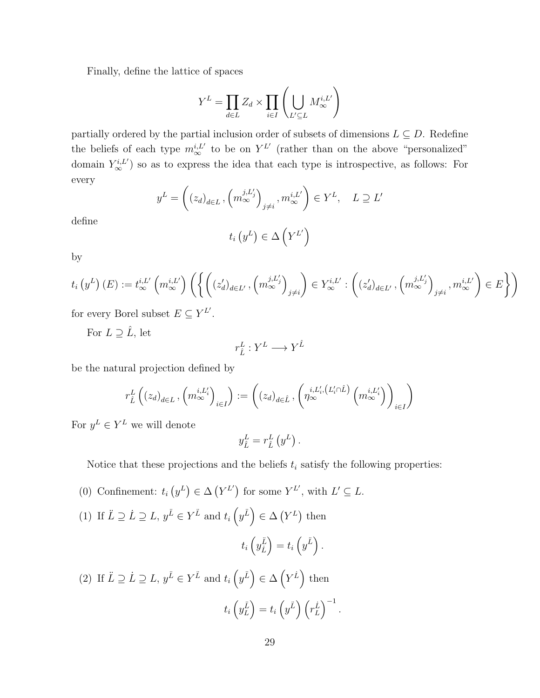Finally, define the lattice of spaces

$$
Y^L = \prod_{d \in L} Z_d \times \prod_{i \in I} \left( \bigcup_{L' \subseteq L} M_\infty^{i, L'} \right)
$$

partially ordered by the partial inclusion order of subsets of dimensions  $L \subseteq D$ . Redefine the beliefs of each type  $m^{i,L'}_{\infty}$  to be on  $Y^{L'}$  (rather than on the above "personalized" domain  $Y^{i,L'}_{\infty}$  so as to express the idea that each type is introspective, as follows: For every

$$
y^{L} = \left( (z_d)_{d \in L}, \left( m_{\infty}^{j, L'_j} \right)_{j \neq i}, m_{\infty}^{i, L'} \right) \in Y^{L}, \quad L \supseteq L'
$$

define

$$
t_i\left(y^L\right) \in \Delta\left(Y^{L'}\right)
$$

by

$$
t_i\left(y^L\right)(E) := t_{\infty}^{i,L'}\left(m_{\infty}^{i,L'}\right)\left(\left\{\left(\left(z'_d\right)_{d\in L'}, \left(m_{\infty}^{j,L'_j}\right)_{j\neq i}\right) \in Y_{\infty}^{i,L'}: \left(\left(z'_d\right)_{d\in L'}, \left(m_{\infty}^{j,L'_j}\right)_{j\neq i}, m_{\infty}^{i,L'}\right) \in E\right\}\right)
$$

for every Borel subset  $E \subseteq Y^{L'}$ .

For  $L \supseteq \hat{L}$ , let

$$
r_{\hat{L}}^L:Y^L\longrightarrow Y^{\hat{L}}
$$

be the natural projection defined by

$$
r_{\hat{L}}^{L}\left(\left(z_{d}\right)_{d\in L},\left(m_{\infty}^{i,L_{i}^{\prime}}\right)_{i\in I}\right):=\left(\left(z_{d}\right)_{d\in\hat{L}},\left(\eta_{\infty}^{i,L_{i}^{\prime},\left(L_{i}^{\prime}\cap\hat{L}\right)}\left(m_{\infty}^{i,L_{i}^{\prime}}\right)\right)_{i\in I}\right)
$$

For  $y^L \in Y^L$  we will denote

$$
y_{\hat{L}}^L = r_{\hat{L}}^L (y^L) .
$$

Notice that these projections and the beliefs  $t_i$  satisfy the following properties:

- (0) Confinement:  $t_i\left(y^L\right) \in \Delta\left(Y^{L'}\right)$  for some  $Y^{L'}$ , with  $L' \subseteq L$ .
- (1) If  $\ddot{L} \supseteq \dot{L} \supseteq L$ ,  $y^{\ddot{L}} \in Y^{\ddot{L}}$  and  $t_i\left(y^{\ddot{L}}\right) \in \Delta(Y^L)$  then  $t_i\left(y_{\widetilde{L}}^{\widetilde{L}}\right)$ L˙  $\Big) = t_i\left(y^{\tilde{L}}\right).$

(2) If 
$$
\ddot{L} \supseteq \dot{L} \supseteq L
$$
,  $y^{\ddot{L}} \in Y^{\ddot{L}}$  and  $t_i \left( y^{\ddot{L}} \right) \in \Delta \left( Y^{\dot{L}} \right)$  then  

$$
t_i \left( y^{\ddot{L}}_L \right) = t_i \left( y^{\ddot{L}} \right) \left( r^{\dot{L}}_L \right)^{-1}
$$

.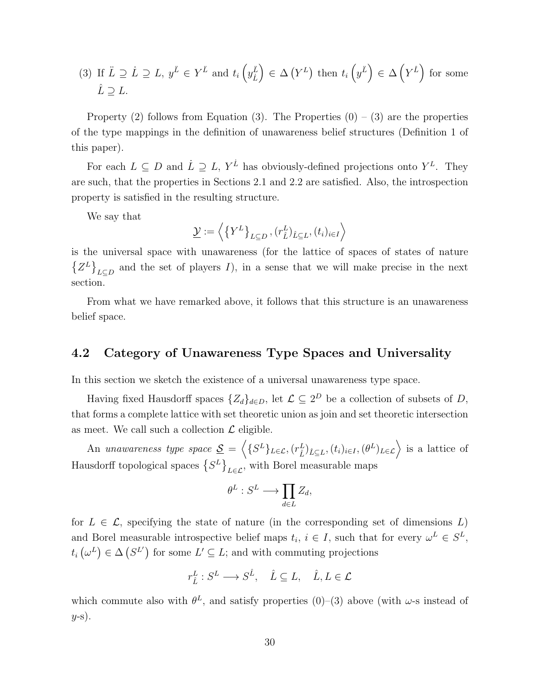(3) If 
$$
\ddot{L} \supseteq \dot{L} \supseteq L
$$
,  $y^{\ddot{L}} \in Y^{\ddot{L}}$  and  $t_i\left(y^{\ddot{L}}_L\right) \in \Delta(Y^L)$  then  $t_i\left(y^{\ddot{L}}\right) \in \Delta(Y^{\hat{L}})$  for some  $\hat{L} \supseteq L$ .

Property (2) follows from Equation (3). The Properties  $(0) - (3)$  are the properties of the type mappings in the definition of unawareness belief structures (Definition 1 of this paper).

For each  $L \subseteq D$  and  $\dot{L} \supseteq L$ ,  $Y^{\dot{L}}$  has obviously-defined projections onto  $Y^L$ . They are such, that the properties in Sections 2.1 and 2.2 are satisfied. Also, the introspection property is satisfied in the resulting structure.

We say that

$$
\underline{\mathcal{Y}} := \left\langle \left\{ Y^L \right\}_{L \subseteq D}, \left( r^L_{\hat{L}} \right)_{\hat{L} \subseteq L}, (t_i)_{i \in I} \right\rangle
$$

is the universal space with unawareness (for the lattice of spaces of states of nature  $\{Z^L\}_{L\subseteq D}$  and the set of players *I*), in a sense that we will make precise in the next section.

From what we have remarked above, it follows that this structure is an unawareness belief space.

### 4.2 Category of Unawareness Type Spaces and Universality

In this section we sketch the existence of a universal unawareness type space.

Having fixed Hausdorff spaces  $\{Z_d\}_{d\in D}$ , let  $\mathcal{L} \subseteq 2^D$  be a collection of subsets of D, that forms a complete lattice with set theoretic union as join and set theoretic intersection as meet. We call such a collection  $\mathcal L$  eligible.

An unawareness type space  $\underline{S} = \left\langle \{S^L\}_{L \in \mathcal{L}}, (r_{\hat{L}}^L)_{\hat{L} \subseteq L}, (t_i)_{i \in I}, (\theta^L)_{L \in \mathcal{L}} \right\rangle$  is a lattice of Hausdorff topological spaces  $\{S^L\}_{L\in\mathcal{L}}$ , with Borel measurable maps

$$
\theta^L: S^L \longrightarrow \prod_{d \in L} Z_d,
$$

for  $L \in \mathcal{L}$ , specifying the state of nature (in the corresponding set of dimensions L) and Borel measurable introspective belief maps  $t_i, i \in I$ , such that for every  $\omega^L \in S^L$ ,  $t_i(\omega^L) \in \Delta(S^{L'})$  for some  $L' \subseteq L$ ; and with commuting projections

$$
r_{\hat{L}}^L: S^L \longrightarrow S^{\hat{L}}, \quad \hat{L} \subseteq L, \quad \hat{L}, L \in \mathcal{L}
$$

which commute also with  $\theta^L$ , and satisfy properties  $(0)$ – $(3)$  above (with  $\omega$ -s instead of  $y-s$ ).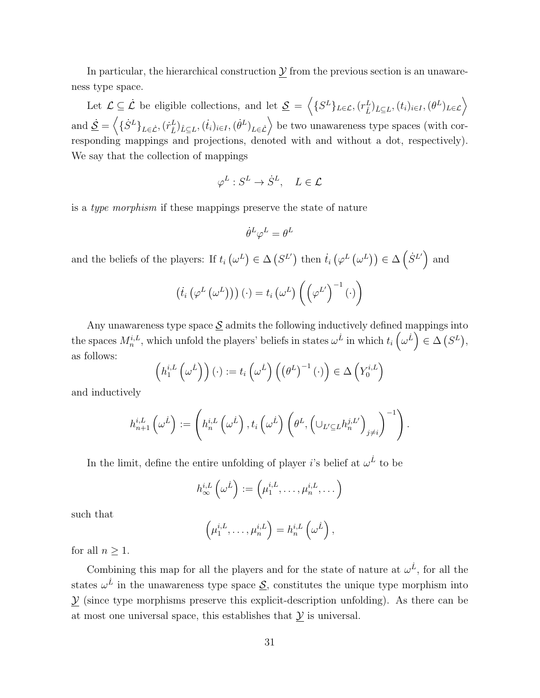In particular, the hierarchical construction  $\mathcal{Y}$  from the previous section is an unawareness type space.

Let  $\mathcal{L} \subseteq \dot{\mathcal{L}}$  be eligible collections, and let  $\underline{\mathcal{S}} = \left\langle \{S^L\}_{L \in \mathcal{L}}, (r_{\hat{L}}^L)_{\hat{L} \subseteq L}, (t_i)_{i \in I}, (\theta^L)_{L \in \mathcal{L}} \right\rangle$ and  $\underline{\dot{S}} = \left\langle \{\dot{S}^L\}_{L \in \dot{\mathcal{L}}}, (\dot{r}_{\hat{L}}^L)_{\hat{L} \subseteq L}, (\dot{t}_i)_{i \in I}, (\dot{\theta}^L)_{L \in \dot{\mathcal{L}}} \right\rangle$  be two unawareness type spaces (with corresponding mappings and projections, denoted with and without a dot, respectively). We say that the collection of mappings

$$
\varphi^L: S^L \to \dot{S}^L, \quad L \in \mathcal{L}
$$

is a type morphism if these mappings preserve the state of nature

$$
\dot{\theta}^L\varphi^L=\theta^L
$$

and the beliefs of the players: If  $t_i(\omega^L) \in \Delta(S^{L'})$  then  $\dot{t}_i(\varphi^L(\omega^L)) \in \Delta(\dot{S}^{L'})$  and

$$
\left(\dot{t}_{i}\left(\varphi^{L}\left(\omega^{L}\right)\right)\right)(\cdot)=t_{i}\left(\omega^{L}\right)\left(\left(\varphi^{L'}\right)^{-1}(\cdot)\right)
$$

Any unawareness type space  $S$  admits the following inductively defined mappings into the spaces  $M_n^{i,L}$ , which unfold the players' beliefs in states  $\omega^{\hat{L}}$  in which  $t_i \left( \omega^{\hat{L}} \right) \in \Delta \left( S^L \right)$ , as follows:

$$
\left(h_1^{i,L}\left(\omega^{\dot{L}}\right)\right)(\cdot) := t_i\left(\omega^{\dot{L}}\right)\left(\left(\theta^L\right)^{-1}(\cdot)\right) \in \Delta\left(Y_0^{i,L}\right)
$$

and inductively

$$
h_{n+1}^{i,L}(\omega^{\dot{L}}):=\left(h_n^{i,L}(\omega^{\dot{L}}),t_i(\omega^{\dot{L}})(\theta^L,(\cup_{L'\subseteq L}h_n^{j,L'})_{j\neq i})^{-1}\right).
$$

In the limit, define the entire unfolding of player *i*'s belief at  $\omega^{\hat{L}}$  to be

$$
h_{\infty}^{i,L}\left(\omega^{\dot{L}}\right):=\left(\mu_{1}^{i,L},\ldots,\mu_{n}^{i,L},\ldots\right)
$$

such that

$$
\left(\mu_1^{i,L},\ldots,\mu_n^{i,L}\right)=h_n^{i,L}\left(\omega^{\dot{L}}\right),\,
$$

for all  $n > 1$ .

Combining this map for all the players and for the state of nature at  $\omega^{\hat{L}}$ , for all the states  $\omega^{\hat{L}}$  in the unawareness type space  $\underline{S}$ , constitutes the unique type morphism into  $\mathcal Y$  (since type morphisms preserve this explicit-description unfolding). As there can be at most one universal space, this establishes that  $\mathcal{Y}$  is universal.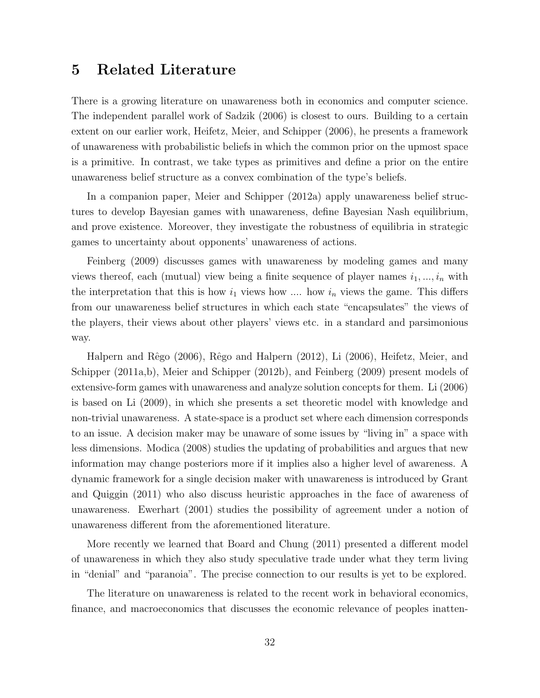## 5 Related Literature

There is a growing literature on unawareness both in economics and computer science. The independent parallel work of Sadzik (2006) is closest to ours. Building to a certain extent on our earlier work, Heifetz, Meier, and Schipper (2006), he presents a framework of unawareness with probabilistic beliefs in which the common prior on the upmost space is a primitive. In contrast, we take types as primitives and define a prior on the entire unawareness belief structure as a convex combination of the type's beliefs.

In a companion paper, Meier and Schipper (2012a) apply unawareness belief structures to develop Bayesian games with unawareness, define Bayesian Nash equilibrium, and prove existence. Moreover, they investigate the robustness of equilibria in strategic games to uncertainty about opponents' unawareness of actions.

Feinberg (2009) discusses games with unawareness by modeling games and many views thereof, each (mutual) view being a finite sequence of player names  $i_1, ..., i_n$  with the interpretation that this is how  $i_1$  views how .... how  $i_n$  views the game. This differs from our unawareness belief structures in which each state "encapsulates" the views of the players, their views about other players' views etc. in a standard and parsimonious way.

Halpern and Rêgo (2006), Rêgo and Halpern (2012), Li (2006), Heifetz, Meier, and Schipper (2011a,b), Meier and Schipper (2012b), and Feinberg (2009) present models of extensive-form games with unawareness and analyze solution concepts for them. Li (2006) is based on Li (2009), in which she presents a set theoretic model with knowledge and non-trivial unawareness. A state-space is a product set where each dimension corresponds to an issue. A decision maker may be unaware of some issues by "living in" a space with less dimensions. Modica (2008) studies the updating of probabilities and argues that new information may change posteriors more if it implies also a higher level of awareness. A dynamic framework for a single decision maker with unawareness is introduced by Grant and Quiggin (2011) who also discuss heuristic approaches in the face of awareness of unawareness. Ewerhart (2001) studies the possibility of agreement under a notion of unawareness different from the aforementioned literature.

More recently we learned that Board and Chung (2011) presented a different model of unawareness in which they also study speculative trade under what they term living in "denial" and "paranoia". The precise connection to our results is yet to be explored.

The literature on unawareness is related to the recent work in behavioral economics, finance, and macroeconomics that discusses the economic relevance of peoples inatten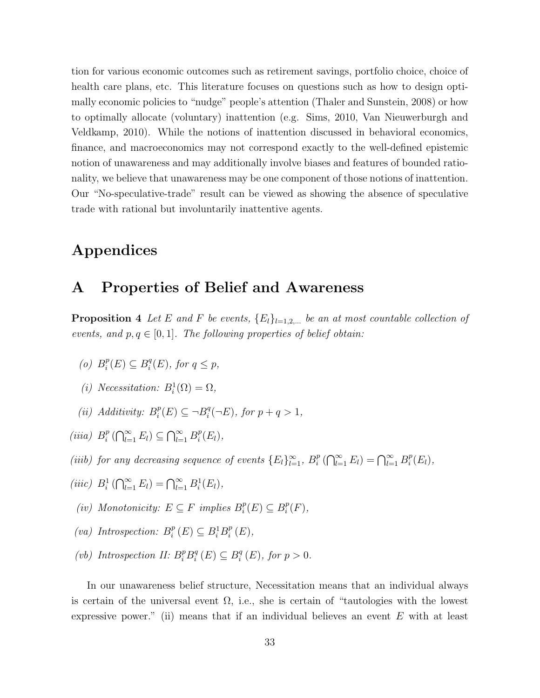tion for various economic outcomes such as retirement savings, portfolio choice, choice of health care plans, etc. This literature focuses on questions such as how to design optimally economic policies to "nudge" people's attention (Thaler and Sunstein, 2008) or how to optimally allocate (voluntary) inattention (e.g. Sims, 2010, Van Nieuwerburgh and Veldkamp, 2010). While the notions of inattention discussed in behavioral economics, finance, and macroeconomics may not correspond exactly to the well-defined epistemic notion of unawareness and may additionally involve biases and features of bounded rationality, we believe that unawareness may be one component of those notions of inattention. Our "No-speculative-trade" result can be viewed as showing the absence of speculative trade with rational but involuntarily inattentive agents.

## Appendices

## A Properties of Belief and Awareness

**Proposition 4** Let E and F be events,  ${E_l}_{l=1,2,...}$  be an at most countable collection of events, and  $p, q \in [0, 1]$ . The following properties of belief obtain:

- (o)  $B_i^p$  $i^p(E) \subseteq B_i^q$  $_i^q(E)$ , for  $q \leq p$ ,
- (i) Necessitation:  $B_i^1(\Omega) = \Omega$ ,
- (*ii*) Additivity:  $B_i^p$  $_i^p(E) \subseteq \neg B_i^q$  $i^q(-E)$ , for  $p + q > 1$ ,

 $(iii)$   $B_i^p$  $\bigcap_{i=1}^{p} E_{l} \big) \subseteq \bigcap_{l=1}^{\infty} B_{i}^{p}$  $_i^p(E_l)$ ,

- (iiib) for any decreasing sequence of events  ${E_l}_{l=1}^{\infty}, B_i^p$  $\int_i^p \left( \bigcap_{l=1}^\infty E_l \right) = \bigcap_{l=1}^\infty B_i^p$  $_i^p(E_l)$ ,
- (iiic)  $B_i^1(\bigcap_{l=1}^{\infty} E_l) = \bigcap_{l=1}^{\infty} B_i^1(E_l),$
- (iv) Monotonicity:  $E \subseteq F$  implies  $B_i^p$  $i^p(E) \subseteq B_i^p$  $_i^p(F),$
- (va) Introspection:  $B_i^p$  $_i^p(E) \subseteq B_i^1 B_i^p$  $_{i}^{p}\left( E\right) ,$
- (vb) Introspection II:  $B_i^p B_i^q$  $_i^q(E) \subseteq B_i^q$  $_{i}^{q}(E)$ , for  $p > 0$ .

In our unawareness belief structure, Necessitation means that an individual always is certain of the universal event  $\Omega$ , i.e., she is certain of "tautologies with the lowest expressive power." (ii) means that if an individual believes an event  $E$  with at least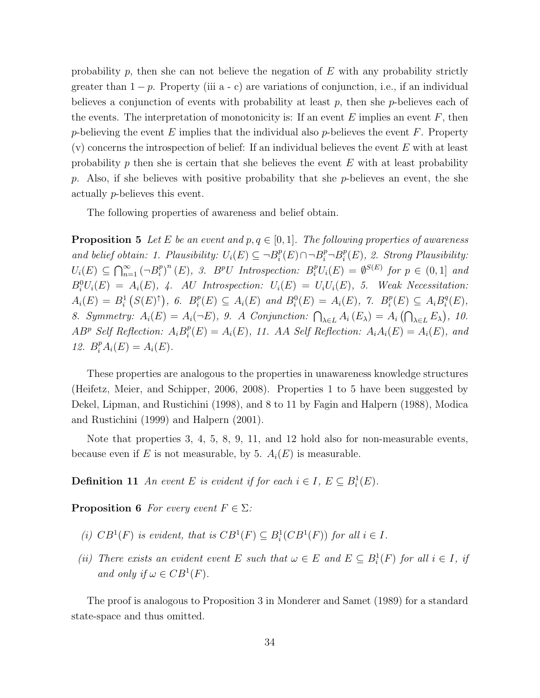probability  $p$ , then she can not believe the negation of  $E$  with any probability strictly greater than  $1 - p$ . Property (iii a - c) are variations of conjunction, i.e., if an individual believes a conjunction of events with probability at least  $p$ , then she  $p$ -believes each of the events. The interpretation of monotonicity is: If an event  $E$  implies an event  $F$ , then p-believing the event E implies that the individual also p-believes the event F. Property  $(v)$  concerns the introspection of belief: If an individual believes the event E with at least probability p then she is certain that she believes the event  $E$  with at least probability p. Also, if she believes with positive probability that she p-believes an event, the she actually p-believes this event.

The following properties of awareness and belief obtain.

**Proposition 5** Let E be an event and  $p, q \in [0, 1]$ . The following properties of awareness and belief obtain: 1. Plausibility:  $U_i(E) \subseteq \neg B_i^p$  $i^p(E) \cap \neg B_i^p \neg B_i^p$  $i<sup>p</sup>(E)$ , 2. Strong Plausibility:  $U_i(E) \subseteq \bigcap_{n=1}^{\infty} (\neg B_i^p)$  $\int_i^p (E)$ , 3. B<sup>p</sup>U Introspection:  $B_i^p U_i(E) = \emptyset^{S(E)}$  for  $p \in (0,1]$  and  $B_i^0 U_i(E) = A_i(E)$ , 4. AU Introspection:  $U_i(E) = U_i U_i(E)$ , 5. Weak Necessitation:  $A_i(E) = B_i^1(S(E)^{\uparrow}), 6. B_i^p$  $i^p(E) \subseteq A_i(E)$  and  $B_i^0(E) = A_i(E)$ , 7.  $B_i^p$  $_i^p(E) \subseteq A_i B_i^q$  $_i^q(E),$ 8. Symmetry:  $A_i(E) = A_i(\neg E)$ , 9. A Conjunction:  $\bigcap_{\lambda \in L} A_i(E_\lambda) = A_i \bigcap_{\lambda \in L} E_\lambda \big)$ , 10.  $AB^p$  Self Reflection:  $A_i B_i^p$  $i<sup>p</sup>(E) = A<sub>i</sub>(E)$ , 11. AA Self Reflection:  $A<sub>i</sub>A<sub>i</sub>(E) = A<sub>i</sub>(E)$ , and 12.  $B_i^p A_i(E) = A_i(E)$ .

These properties are analogous to the properties in unawareness knowledge structures (Heifetz, Meier, and Schipper, 2006, 2008). Properties 1 to 5 have been suggested by Dekel, Lipman, and Rustichini (1998), and 8 to 11 by Fagin and Halpern (1988), Modica and Rustichini (1999) and Halpern (2001).

Note that properties 3, 4, 5, 8, 9, 11, and 12 hold also for non-measurable events, because even if E is not measurable, by 5.  $A_i(E)$  is measurable.

**Definition 11** An event E is evident if for each  $i \in I$ ,  $E \subseteq B_i^1(E)$ .

**Proposition 6** For every event  $F \in \Sigma$ :

- (i)  $CB^1(F)$  is evident, that is  $CB^1(F) \subseteq B^1_i(CB^1(F))$  for all  $i \in I$ .
- (ii) There exists an evident event E such that  $\omega \in E$  and  $E \subseteq B_i^1(F)$  for all  $i \in I$ , if and only if  $\omega \in CB^1(F)$ .

The proof is analogous to Proposition 3 in Monderer and Samet (1989) for a standard state-space and thus omitted.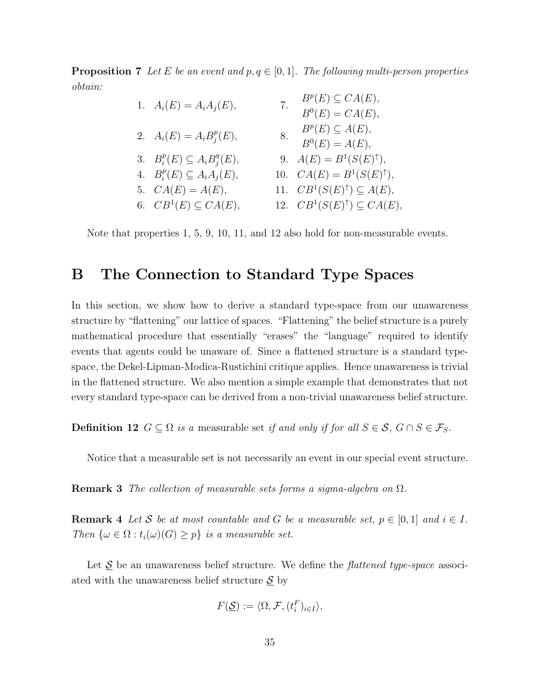**Proposition 7** Let E be an event and  $p, q \in [0, 1]$ . The following multi-person properties obtain:

| 1. $A_i(E) = A_i A_j(E)$ ,             | $B^p(E) \subseteq CA(E),$<br>$B^0(E) = CA(E),$      |
|----------------------------------------|-----------------------------------------------------|
| 2. $A_i(E) = A_i B_i^p(E),$            | 8. $B^{p}(E) \subseteq A(E),$<br>$B^{0}(E) = A(E),$ |
| 3. $B_i^p(E) \subseteq A_i B_i^q(E)$ , | 9. $A(E) = B^1(S(E)^{\uparrow}),$                   |
| 4. $B_i^p(E) \subseteq A_i A_j(E)$ ,   | 10. $CA(E) = B^1(S(E)^{\uparrow}),$                 |
| 5. $CA(E) = A(E)$ ,                    | 11. $CB^1(S(E)^{\uparrow}) \subseteq A(E)$ ,        |
| 6. $CB^1(E) \subseteq CA(E)$ ,         | 12. $CB^1(S(E)^{\uparrow}) \subseteq CA(E)$ ,       |

Note that properties 1, 5, 9, 10, 11, and 12 also hold for non-measurable events.

## B The Connection to Standard Type Spaces

In this section, we show how to derive a standard type-space from our unawareness structure by "flattening" our lattice of spaces. "Flattening" the belief structure is a purely mathematical procedure that essentially "erases" the "language" required to identify events that agents could be unaware of. Since a flattened structure is a standard typespace, the Dekel-Lipman-Modica-Rustichini critique applies. Hence unawareness is trivial in the flattened structure. We also mention a simple example that demonstrates that not every standard type-space can be derived from a non-trivial unawareness belief structure.

**Definition 12**  $G \subseteq \Omega$  is a measurable set if and only if for all  $S \in \mathcal{S}$ ,  $G \cap S \in \mathcal{F}_S$ .

Notice that a measurable set is not necessarily an event in our special event structure.

**Remark 3** The collection of measurable sets forms a sigma-algebra on  $\Omega$ .

**Remark 4** Let S be at most countable and G be a measurable set,  $p \in [0,1]$  and  $i \in I$ . Then  $\{\omega \in \Omega : t_i(\omega)(G) \geq p\}$  is a measurable set.

Let  $\underline{S}$  be an unawareness belief structure. We define the *flattened type-space* associated with the unawareness belief structure  $\underline{S}$  by

$$
F(\underline{\mathcal{S}}) := \langle \Omega, \mathcal{F}, (t_i^F)_{i \in I} \rangle,
$$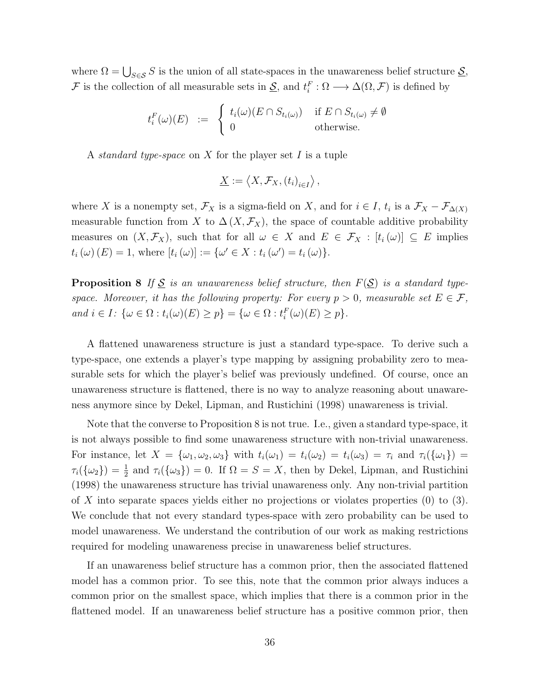where  $\Omega = \bigcup_{S \in \mathcal{S}} S$  is the union of all state-spaces in the unawareness belief structure  $\underline{\mathcal{S}}$ , F is the collection of all measurable sets in  $\underline{S}$ , and  $t_i^F : \Omega \longrightarrow \Delta(\Omega, \mathcal{F})$  is defined by

$$
t_i^F(\omega)(E) \quad := \quad \begin{cases} \quad t_i(\omega)(E \cap S_{t_i(\omega)}) & \text{if } E \cap S_{t_i(\omega)} \neq \emptyset \\ 0 & \text{otherwise.} \end{cases}
$$

A *standard type-space* on  $X$  for the player set  $I$  is a tuple

$$
\underline{X} := \langle X, \mathcal{F}_X, (t_i)_{i \in I} \rangle,
$$

where X is a nonempty set,  $\mathcal{F}_X$  is a sigma-field on X, and for  $i \in I$ ,  $t_i$  is a  $\mathcal{F}_X - \mathcal{F}_{\Delta(X)}$ measurable function from X to  $\Delta(X, \mathcal{F}_X)$ , the space of countable additive probability measures on  $(X, \mathcal{F}_X)$ , such that for all  $\omega \in X$  and  $E \in \mathcal{F}_X : [t_i(\omega)] \subseteq E$  implies  $t_i(\omega) (E) = 1$ , where  $[t_i(\omega)] := {\omega' \in X : t_i(\omega') = t_i(\omega)}.$ 

**Proposition 8** If  $\underline{S}$  is an unawareness belief structure, then  $F(\underline{S})$  is a standard typespace. Moreover, it has the following property: For every  $p > 0$ , measurable set  $E \in \mathcal{F}$ , and  $i \in I$ :  $\{\omega \in \Omega : t_i(\omega)(E) \ge p\} = \{\omega \in \Omega : t_i^F(\omega)(E) \ge p\}.$ 

A flattened unawareness structure is just a standard type-space. To derive such a type-space, one extends a player's type mapping by assigning probability zero to measurable sets for which the player's belief was previously undefined. Of course, once an unawareness structure is flattened, there is no way to analyze reasoning about unawareness anymore since by Dekel, Lipman, and Rustichini (1998) unawareness is trivial.

Note that the converse to Proposition 8 is not true. I.e., given a standard type-space, it is not always possible to find some unawareness structure with non-trivial unawareness. For instance, let  $X = {\omega_1, \omega_2, \omega_3}$  with  $t_i(\omega_1) = t_i(\omega_2) = t_i(\omega_3) = \tau_i$  and  $\tau_i({\omega_1}) =$  $\tau_i(\{\omega_2\}) = \frac{1}{2}$  and  $\tau_i(\{\omega_3\}) = 0$ . If  $\Omega = S = X$ , then by Dekel, Lipman, and Rustichini (1998) the unawareness structure has trivial unawareness only. Any non-trivial partition of X into separate spaces yields either no projections or violates properties  $(0)$  to  $(3)$ . We conclude that not every standard types-space with zero probability can be used to model unawareness. We understand the contribution of our work as making restrictions required for modeling unawareness precise in unawareness belief structures.

If an unawareness belief structure has a common prior, then the associated flattened model has a common prior. To see this, note that the common prior always induces a common prior on the smallest space, which implies that there is a common prior in the flattened model. If an unawareness belief structure has a positive common prior, then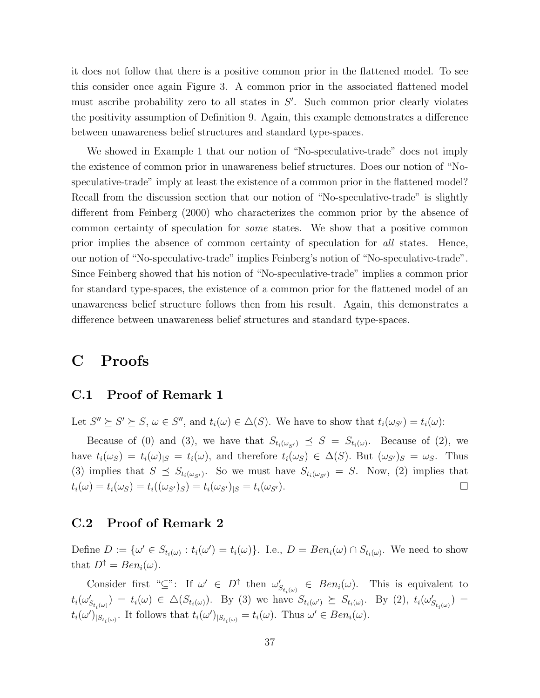it does not follow that there is a positive common prior in the flattened model. To see this consider once again Figure 3. A common prior in the associated flattened model must ascribe probability zero to all states in  $S'$ . Such common prior clearly violates the positivity assumption of Definition 9. Again, this example demonstrates a difference between unawareness belief structures and standard type-spaces.

We showed in Example 1 that our notion of "No-speculative-trade" does not imply the existence of common prior in unawareness belief structures. Does our notion of "Nospeculative-trade" imply at least the existence of a common prior in the flattened model? Recall from the discussion section that our notion of "No-speculative-trade" is slightly different from Feinberg (2000) who characterizes the common prior by the absence of common certainty of speculation for some states. We show that a positive common prior implies the absence of common certainty of speculation for all states. Hence, our notion of "No-speculative-trade" implies Feinberg's notion of "No-speculative-trade". Since Feinberg showed that his notion of "No-speculative-trade" implies a common prior for standard type-spaces, the existence of a common prior for the flattened model of an unawareness belief structure follows then from his result. Again, this demonstrates a difference between unawareness belief structures and standard type-spaces.

## C Proofs

#### C.1 Proof of Remark 1

Let  $S'' \succeq S' \succeq S$ ,  $\omega \in S''$ , and  $t_i(\omega) \in \Delta(S)$ . We have to show that  $t_i(\omega_{S'}) = t_i(\omega)$ :

Because of (0) and (3), we have that  $S_{t_i(\omega_{S'})} \preceq S = S_{t_i(\omega)}$ . Because of (2), we have  $t_i(\omega_S) = t_i(\omega)_{|S} = t_i(\omega)$ , and therefore  $t_i(\omega_S) \in \Delta(S)$ . But  $(\omega_{S'})_S = \omega_S$ . Thus (3) implies that  $S \preceq S_{t_i(\omega_{S})}$ . So we must have  $S_{t_i(\omega_{S})} = S$ . Now, (2) implies that  $t_i(\omega) = t_i(\omega_S) = t_i((\omega_{S'})_S) = t_i(\omega_{S'})_S = t_i(\omega_{S'})$ .

### C.2 Proof of Remark 2

Define  $D := \{ \omega' \in S_{t_i(\omega)} : t_i(\omega') = t_i(\omega) \}$ . I.e.,  $D = Ben_i(\omega) \cap S_{t_i(\omega)}$ . We need to show that  $D^{\uparrow} = Ben_i(\omega)$ .

Consider first " $\subseteq$ ": If  $\omega' \in D^{\uparrow}$  then  $\omega'_{S_{t_i(\omega)}} \in Ben_i(\omega)$ . This is equivalent to  $t_i(\omega'_{S_{t_i(\omega)}}) = t_i(\omega) \in \Delta(S_{t_i(\omega)})$ . By (3) we have  $S_{t_i(\omega')} \succeq S_{t_i(\omega)}$ . By (2),  $t_i(\omega'_{S_{t_i(\omega)}}) =$  $t_i(\omega')_{|S_{t_i(\omega)}}$ . It follows that  $t_i(\omega')_{|S_{t_i(\omega)}} = t_i(\omega)$ . Thus  $\omega' \in Ben_i(\omega)$ .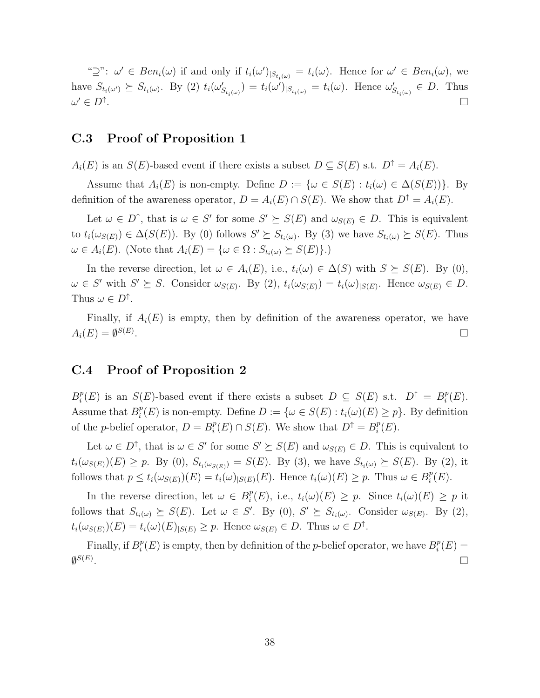" $\supseteq$ ":  $\omega' \in Ben_i(\omega)$  if and only if  $t_i(\omega')|_{S_{t_i(\omega)}} = t_i(\omega)$ . Hence for  $\omega' \in Ben_i(\omega)$ , we have  $S_{t_i(\omega)} \succeq S_{t_i(\omega)}$ . By (2)  $t_i(\omega'_{S_{t_i(\omega)}}) = t_i(\omega')_{|S_{t_i(\omega)}} = t_i(\omega)$ . Hence  $\omega'_{S_{t_i(\omega)}} \in D$ . Thus  $\omega' \in D^{\uparrow}$ . The contract of the contract of the contract of the contract of the contract of the contract of the contract of the contract of the contract of the contract of the contract of the contract of the contract of the contrac

#### C.3 Proof of Proposition 1

 $A_i(E)$  is an  $S(E)$ -based event if there exists a subset  $D \subseteq S(E)$  s.t.  $D^{\uparrow} = A_i(E)$ .

Assume that  $A_i(E)$  is non-empty. Define  $D := \{ \omega \in S(E) : t_i(\omega) \in \Delta(S(E)) \}$ . By definition of the awareness operator,  $D = A_i(E) \cap S(E)$ . We show that  $D^{\uparrow} = A_i(E)$ .

Let  $\omega \in D^{\uparrow}$ , that is  $\omega \in S'$  for some  $S' \succeq S(E)$  and  $\omega_{S(E)} \in D$ . This is equivalent to  $t_i(\omega_{S(E)}) \in \Delta(S(E))$ . By (0) follows  $S' \succeq S_{t_i(\omega)}$ . By (3) we have  $S_{t_i(\omega)} \succeq S(E)$ . Thus  $\omega \in A_i(E)$ . (Note that  $A_i(E) = {\omega \in \Omega : S_{t_i(\omega)} \succeq S(E)}$ .)

In the reverse direction, let  $\omega \in A_i(E)$ , i.e.,  $t_i(\omega) \in \Delta(S)$  with  $S \succeq S(E)$ . By (0),  $\omega \in S'$  with  $S' \succeq S$ . Consider  $\omega_{S(E)}$ . By (2),  $t_i(\omega_{S(E)}) = t_i(\omega)_{|S(E)}$ . Hence  $\omega_{S(E)} \in D$ . Thus  $\omega \in D^{\uparrow}$ .

Finally, if  $A_i(E)$  is empty, then by definition of the awareness operator, we have  $A_i(E) = \emptyset^{S(E)}$ .

## C.4 Proof of Proposition 2

 $B_i^p$  $i(E)$  is an  $S(E)$ -based event if there exists a subset  $D \subseteq S(E)$  s.t.  $D^{\uparrow} = B_i^p$  $_i^p(E).$ Assume that  $B_i^p$  $i(E)$  is non-empty. Define  $D := \{ \omega \in S(E) : t_i(\omega)(E) \geq p \}$ . By definition of the *p*-belief operator,  $D = B_i^p$  $i^p(E) \cap S(E)$ . We show that  $D^{\uparrow} = B_i^p$  $_i^p(E).$ 

Let  $\omega \in D^{\uparrow}$ , that is  $\omega \in S'$  for some  $S' \succeq S(E)$  and  $\omega_{S(E)} \in D$ . This is equivalent to  $t_i(\omega_{S(E)})(E) \geq p$ . By (0),  $S_{t_i(\omega_{S(E)})} = S(E)$ . By (3), we have  $S_{t_i(\omega)} \succeq S(E)$ . By (2), it follows that  $p \le t_i(\omega_{S(E)})(E) = t_i(\omega)_{|S(E)}(E)$ . Hence  $t_i(\omega)(E) \ge p$ . Thus  $\omega \in B_i^p$  $_i^p(E).$ 

In the reverse direction, let  $\omega \in B_i^p$  $i^p(E)$ , i.e.,  $t_i(\omega)(E) \geq p$ . Since  $t_i(\omega)(E) \geq p$  it follows that  $S_{t_i(\omega)} \succeq S(E)$ . Let  $\omega \in S'$ . By  $(0), S' \succeq S_{t_i(\omega)}$ . Consider  $\omega_{S(E)}$ . By  $(2),$  $t_i(\omega_{S(E)})(E) = t_i(\omega)(E)_{|S(E)} \geq p$ . Hence  $\omega_{S(E)} \in D$ . Thus  $\omega \in D^{\uparrow}$ .

Finally, if  $B_i^p$  $i^p(E)$  is empty, then by definition of the *p*-belief operator, we have  $B_i^p$  $_i^p(E) =$  $\emptyset^{S(E)}$ .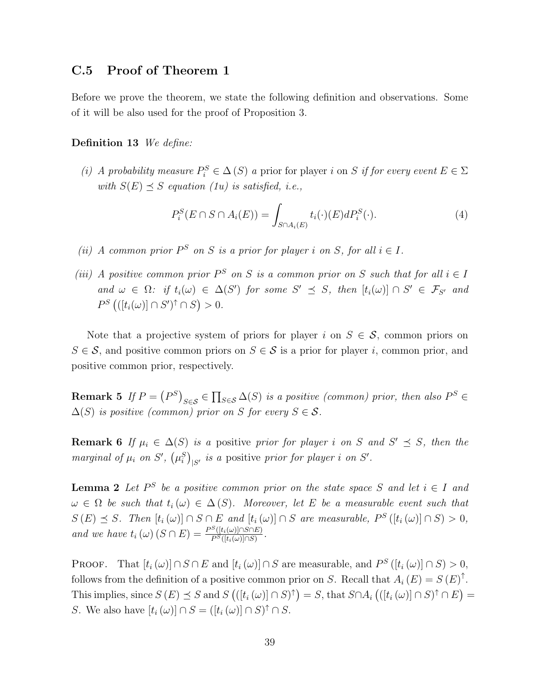#### C.5 Proof of Theorem 1

Before we prove the theorem, we state the following definition and observations. Some of it will be also used for the proof of Proposition 3.

#### Definition 13 We define:

(i) A probability measure  $P_i^S \in \Delta(S)$  a prior for player i on S if for every event  $E \in \Sigma$ with  $S(E) \preceq S$  equation (1u) is satisfied, i.e.,

$$
P_i^S(E \cap S \cap A_i(E)) = \int_{S \cap A_i(E)} t_i(\cdot)(E) dP_i^S(\cdot). \tag{4}
$$

- (ii) A common prior  $P^S$  on S is a prior for player i on S, for all  $i \in I$ .
- (iii) A positive common prior  $P^S$  on S is a common prior on S such that for all  $i \in I$ and  $\omega \in \Omega$ : if  $t_i(\omega) \in \Delta(S')$  for some  $S' \preceq S$ , then  $[t_i(\omega)] \cap S' \in \mathcal{F}_{S'}$  and  $P^S\left((\left[t_i(\omega)\right]\cap S'\right)^{\uparrow}\cap S\right)>0.$

Note that a projective system of priors for player i on  $S \in \mathcal{S}$ , common priors on  $S \in \mathcal{S}$ , and positive common priors on  $S \in \mathcal{S}$  is a prior for player i, common prior, and positive common prior, respectively.

**Remark 5** If  $P = (P^S)_{S \in \mathcal{S}} \in \prod_{S \in \mathcal{S}} \Delta(S)$  is a positive (common) prior, then also  $P^S \in$  $\Delta(S)$  is positive (common) prior on S for every  $S \in \mathcal{S}$ .

**Remark 6** If  $\mu_i \in \Delta(S)$  is a positive prior for player i on S and  $S' \preceq S$ , then the marginal of  $\mu_i$  on S',  $(\mu_i^S)_{|S'}$  is a positive prior for player i on S'.

**Lemma 2** Let  $P^S$  be a positive common prior on the state space S and let  $i \in I$  and  $\omega \in \Omega$  be such that  $t_i(\omega) \in \Delta(S)$ . Moreover, let E be a measurable event such that  $S(E) \preceq S$ . Then  $[t_i(\omega)] \cap S \cap E$  and  $[t_i(\omega)] \cap S$  are measurable,  $P^S([t_i(\omega)] \cap S) > 0$ , and we have  $t_i(\omega)(S \cap E) = \frac{P^S([t_i(\omega)] \cap S \cap E)}{P^S([t_i(\omega)] \cap S)}$  $\frac{P^S([t_i(\omega)]\cap S\cap E)}{P^S([t_i(\omega)]\cap S)}$ .

**PROOF.** That  $[t_i(\omega)] \cap S \cap E$  and  $[t_i(\omega)] \cap S$  are measurable, and  $P^S([t_i(\omega)] \cap S) > 0$ , follows from the definition of a positive common prior on S. Recall that  $A_i(E) = S(E)^{\uparrow}$ . This implies, since  $S(E) \preceq S$  and  $S(([t_i(\omega)] \cap S)^{\uparrow}) = S$ , that  $S \cap A_i(([t_i(\omega)] \cap S)^{\uparrow} \cap E) =$ S. We also have  $[t_i(\omega)] \cap S = ([t_i(\omega)] \cap S)^{\uparrow} \cap S$ .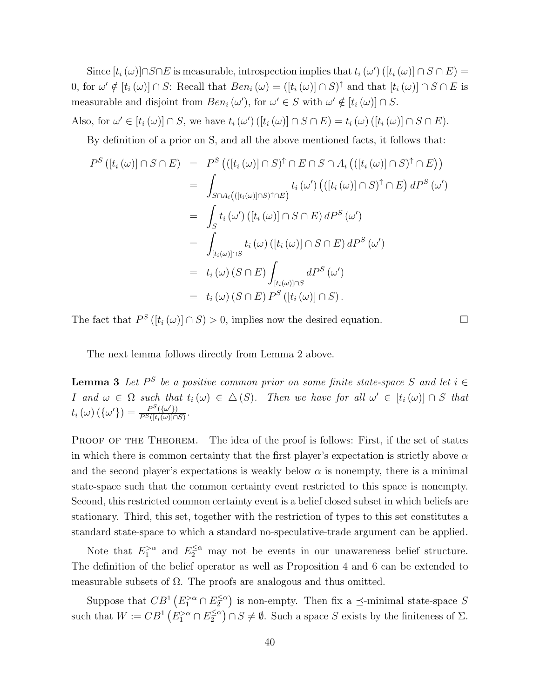Since  $[t_i(\omega)] \cap S \cap E$  is measurable, introspection implies that  $t_i(\omega')$  ( $[t_i(\omega)] \cap S \cap E$ ) = 0, for  $\omega' \notin [t_i(\omega)] \cap S$ : Recall that  $Ben_i(\omega) = ([t_i(\omega)] \cap S)^{\dagger}$  and that  $[t_i(\omega)] \cap S \cap E$  is measurable and disjoint from  $Ben_i(\omega')$ , for  $\omega' \in S$  with  $\omega' \notin [t_i(\omega)] \cap S$ .

Also, for  $\omega' \in [t_i(\omega)] \cap S$ , we have  $t_i(\omega')([t_i(\omega)] \cap S \cap E) = t_i(\omega) ([t_i(\omega)] \cap S \cap E)$ .

By definition of a prior on S, and all the above mentioned facts, it follows that:

$$
P^{S}([t_{i}(\omega)] \cap S \cap E) = P^{S}(([t_{i}(\omega)] \cap S)^{\uparrow} \cap E \cap S \cap A_{i}(([t_{i}(\omega)] \cap S)^{\uparrow} \cap E))
$$
  
\n
$$
= \int_{S \cap A_{i}(([t_{i}(\omega)] \cap S)^{\uparrow} \cap E)} t_{i}(\omega')(([t_{i}(\omega)] \cap S)^{\uparrow} \cap E) dP^{S}(\omega')
$$
  
\n
$$
= \int_{S} t_{i}(\omega') ([t_{i}(\omega)] \cap S \cap E) dP^{S}(\omega')
$$
  
\n
$$
= \int_{[t_{i}(\omega)] \cap S} t_{i}(\omega) ([t_{i}(\omega)] \cap S \cap E) dP^{S}(\omega')
$$
  
\n
$$
= t_{i}(\omega) (S \cap E) \int_{[t_{i}(\omega)] \cap S} dP^{S}(\omega')
$$
  
\n
$$
= t_{i}(\omega) (S \cap E) P^{S}([t_{i}(\omega)] \cap S).
$$

The fact that  $P^S([t_i(\omega)] \cap S) > 0$ , implies now the desired equation.

The next lemma follows directly from Lemma 2 above.

**Lemma 3** Let  $P^S$  be a positive common prior on some finite state-space S and let  $i \in$ I and  $\omega \in \Omega$  such that  $t_i(\omega) \in \Delta(S)$ . Then we have for all  $\omega' \in [t_i(\omega)] \cap S$  that  $t_{i}\left(\omega\right)\left(\left\{\omega'\right\}\right)=\frac{P^{S}\left(\left\{\omega'\right\}\right)}{P^{S}\left(\left[t_{i}\left(\omega\right)\right]\cap\left(\omega'\right)}$  $\frac{P^{\circ}(\{\omega'\})}{P^S([t_i(\omega)]\cap S)}$ .

PROOF OF THE THEOREM. The idea of the proof is follows: First, if the set of states in which there is common certainty that the first player's expectation is strictly above  $\alpha$ and the second player's expectations is weakly below  $\alpha$  is nonempty, there is a minimal state-space such that the common certainty event restricted to this space is nonempty. Second, this restricted common certainty event is a belief closed subset in which beliefs are stationary. Third, this set, together with the restriction of types to this set constitutes a standard state-space to which a standard no-speculative-trade argument can be applied.

Note that  $E_1^{>\alpha}$  and  $E_2^{\leq \alpha}$  may not be events in our unawareness belief structure. The definition of the belief operator as well as Proposition 4 and 6 can be extended to measurable subsets of  $\Omega$ . The proofs are analogous and thus omitted.

Suppose that  $CB^1(E_1^{\geq \alpha} \cap E_2^{\leq \alpha})$  $\binom{\leq \alpha}{2}$  is non-empty. Then fix a  $\preceq$ -minimal state-space S such that  $W := CB^1 \left( E_1^{>\alpha} \cap E_2^{\leq \alpha} \right)$  $(\frac{1}{2}^{\infty}) \cap S \neq \emptyset$ . Such a space S exists by the finiteness of  $\Sigma$ .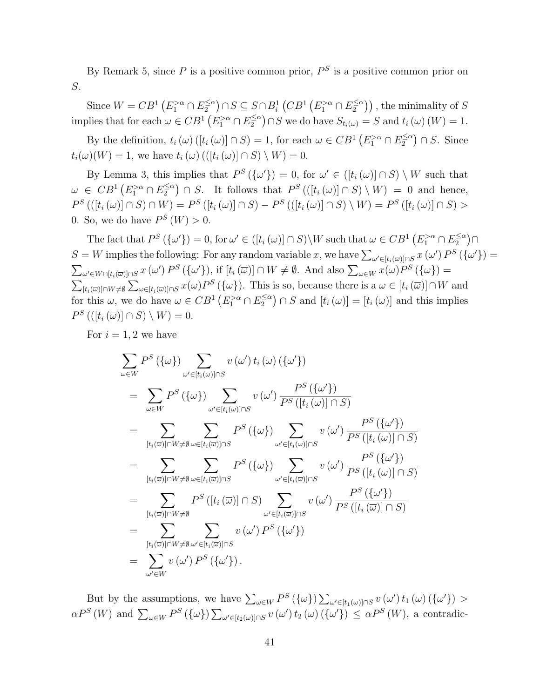By Remark 5, since  $P$  is a positive common prior,  $P^S$  is a positive common prior on S.

Since  $W = CB^1 (E_1^{>\alpha} \cap E_2^{\leq \alpha})$  $\binom{1}{2} \cap S \subseteq S \cap B_i^1 \left( CB^1 \left( E_1^{> \alpha} \cap E_2^{\leq \alpha} \right) \right)$  $(\frac{1}{2}a)$ ), the minimality of S implies that for each  $\omega \in CB^1(E_1^{>\alpha} \cap E_2^{\leq \alpha})$  $\binom{\leq \alpha}{2} \cap S$  we do have  $S_{t_i(\omega)} = S$  and  $t_i(\omega)(W) = 1$ .

By the definition,  $t_i(\omega) ([t_i(\omega)] \cap S) = 1$ , for each  $\omega \in CB^1 (E_1^{>\alpha} \cap E_2^{\leq \alpha})$  $\binom{1 \leq \alpha}{2} \cap S$ . Since  $t_i(\omega)(W) = 1$ , we have  $t_i(\omega)$  (([ $t_i(\omega) \cap S \setminus W$ ) = 0.

By Lemma 3, this implies that  $P^{S}(\{\omega'\})=0$ , for  $\omega' \in ([t_i(\omega)] \cap S) \setminus W$  such that  $\omega$   $\in$   $CB^1$   $(E_1^{>\alpha} \cap E_2^{\leq \alpha})$  $\binom{\leq \alpha}{2} \cap S$ . It follows that  $P^S(([t_i(\omega)] \cap S) \setminus W) = 0$  and hence,  $P^{S}(([t_i(\omega)] \cap S) \cap W) = P^{S}([t_i(\omega)] \cap S) - P^{S}(([t_i(\omega)] \cap S) \setminus W) = P^{S}([t_i(\omega)] \cap S) >$ 0. So, we do have  $P^{S}(W) > 0$ .

The fact that  $P^{S}(\{\omega'\})=0$ , for  $\omega' \in ([t_i(\omega)] \cap S) \setminus W$  such that  $\omega \in CB^1(E_1^{>\alpha} \cap E_2^{\leq \alpha})$  $\binom{\leq\alpha}{2}\cap$  $S = W$  implies the following: For any random variable x, we have  $\sum_{\omega' \in [t_i(\overline{\omega})] \cap S} x(\omega') P^S(\{\omega'\}) =$  $\sum_{\omega' \in W \cap [t_i(\overline{\omega})] \cap S} x(\omega') P^S(\{\omega'\}),$  if  $[t_i(\overline{\omega})] \cap W \neq \emptyset$ . And also  $\sum_{\omega \in W} x(\omega) P^S(\{\omega\}) =$  $\sum_{[t_i(\overline{\omega})] \cap W \neq \emptyset} \sum_{\omega \in [t_i(\overline{\omega})] \cap S} x(\omega) P^S(\{\omega\}).$  This is so, because there is a  $\omega \in [t_i(\overline{\omega})] \cap W$  and for this  $\omega$ , we do have  $\omega \in CB^1(E_1^{>\alpha} \cap E_2^{\leq \alpha})$  $\binom{1 \leq \alpha}{2} \cap S$  and  $[t_i(\omega)] = [t_i(\overline{\omega})]$  and this implies  $P^{S}(([t_i(\overline{\omega})]\cap S)\setminus W)=0.$ 

For  $i = 1, 2$  we have

$$
\sum_{\omega \in W} P^{S}(\{\omega\}) \sum_{\omega' \in [t_i(\omega)] \cap S} v(\omega') t_i(\omega) (\{\omega'\})
$$
\n
$$
= \sum_{\omega \in W} P^{S}(\{\omega\}) \sum_{\omega' \in [t_i(\omega)] \cap S} v(\omega') \frac{P^{S}(\{\omega'\})}{P^{S}([t_i(\omega)] \cap S)}
$$
\n
$$
= \sum_{[t_i(\overline{\omega})] \cap W \neq \emptyset} \sum_{\omega \in [t_i(\overline{\omega})] \cap S} P^{S}(\{\omega\}) \sum_{\omega' \in [t_i(\omega)] \cap S} v(\omega') \frac{P^{S}(\{\omega'\})}{P^{S}([t_i(\omega)] \cap S)}
$$
\n
$$
= \sum_{[t_i(\overline{\omega})] \cap W \neq \emptyset} \sum_{\omega \in [t_i(\overline{\omega})] \cap S} P^{S}(\{\omega\}) \sum_{\omega' \in [t_i(\overline{\omega})] \cap S} v(\omega') \frac{P^{S}(\{\omega'\})}{P^{S}([t_i(\omega)] \cap S)}
$$
\n
$$
= \sum_{[t_i(\overline{\omega})] \cap W \neq \emptyset} P^{S}([t_i(\overline{\omega})] \cap S) \sum_{\omega' \in [t_i(\overline{\omega})] \cap S} v(\omega') \frac{P^{S}(\{\omega'\})}{P^{S}([t_i(\overline{\omega})] \cap S)}
$$
\n
$$
= \sum_{[t_i(\overline{\omega})] \cap W \neq \emptyset} \sum_{\omega' \in [t_i(\overline{\omega})] \cap S} v(\omega') P^{S}(\{\omega'\})
$$
\n
$$
= \sum_{\omega' \in W} v(\omega') P^{S}(\{\omega'\}).
$$

But by the assumptions, we have  $\sum_{\omega \in W} P^S(\{\omega\}) \sum_{\omega' \in [t_1(\omega)] \cap S} v(\omega') t_1(\omega) (\{\omega'\}) >$  $\alpha P^{S}(W)$  and  $\sum_{\omega \in W} P^{S}(\{\omega\}) \sum_{\omega' \in [t_{2}(\omega)] \cap S} v(\omega') t_{2}(\omega) (\{\omega'\}) \leq \alpha P^{S}(W)$ , a contradic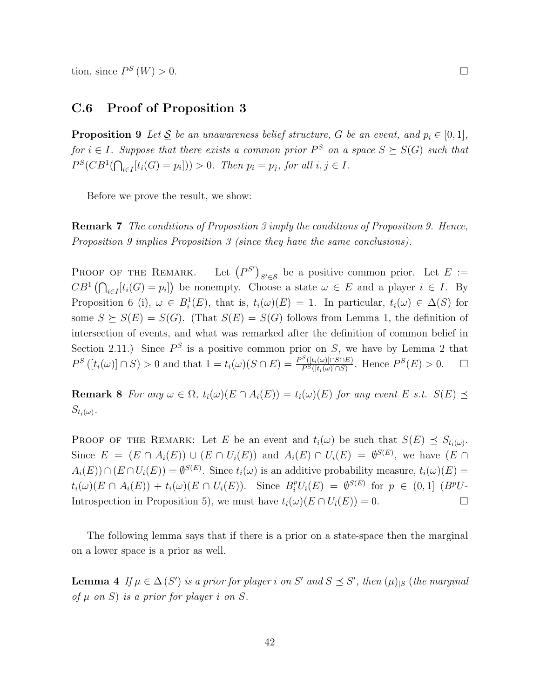tion, since  $P^S(W) > 0$ .

### C.6 Proof of Proposition 3

**Proposition 9** Let  $\underline{S}$  be an unawareness belief structure, G be an event, and  $p_i \in [0,1]$ , for  $i \in I$ . Suppose that there exists a common prior  $P^S$  on a space  $S \succeq S(G)$  such that  $P^{S}(CB^1(\bigcap_{i\in I}[t_i(G)=p_i]))>0$ . Then  $p_i=p_j$ , for all  $i, j \in I$ .

Before we prove the result, we show:

Remark 7 The conditions of Proposition 3 imply the conditions of Proposition 9. Hence, Proposition 9 implies Proposition 3 (since they have the same conclusions).

PROOF OF THE REMARK.  $(P^{S'})_{S' \in \mathcal{S}}$  be a positive common prior. Let  $E :=$  $CB^1$   $(\bigcap_{i\in I} [t_i(G) = p_i])$  be nonempty. Choose a state  $\omega \in E$  and a player  $i \in I$ . By Proposition 6 (i),  $\omega \in B_i^1(E)$ , that is,  $t_i(\omega)(E) = 1$ . In particular,  $t_i(\omega) \in \Delta(S)$  for some  $S \succeq S(E) = S(G)$ . (That  $S(E) = S(G)$  follows from Lemma 1, the definition of intersection of events, and what was remarked after the definition of common belief in Section 2.11.) Since  $P^S$  is a positive common prior on S, we have by Lemma 2 that  $P^{S}([t_i(\omega)] \cap S) > 0$  and that  $1 = t_i(\omega)(S \cap E) = \frac{P^{S}([t_i(\omega)] \cap S \cap E)}{P^{S}([t_i(\omega)] \cap S)}$  $\frac{S([t_i(\omega)] \cap S \cap E)}{P^S([t_i(\omega)] \cap S)}$ . Hence  $P^S(E) > 0$ . □

**Remark 8** For any  $\omega \in \Omega$ ,  $t_i(\omega)(E \cap A_i(E)) = t_i(\omega)(E)$  for any event E s.t.  $S(E) \preceq$  $S_{t_i(\omega)}$ .

PROOF OF THE REMARK: Let E be an event and  $t_i(\omega)$  be such that  $S(E) \preceq S_{t_i(\omega)}$ . Since  $E = (E \cap A_i(E)) \cup (E \cap U_i(E))$  and  $A_i(E) \cap U_i(E) = \emptyset^{S(E)}$ , we have  $(E \cap B_i(E))$  $A_i(E)$ )∩( $E \cap U_i(E)$ ) =  $\emptyset^{S(E)}$ . Since  $t_i(\omega)$  is an additive probability measure,  $t_i(\omega)(E)$  =  $t_i(\omega)(E \cap A_i(E)) + t_i(\omega)(E \cap U_i(E)).$  Since  $B_i^p U_i(E) = \emptyset^{S(E)}$  for  $p \in (0,1]$  ( $B^p U$ Introspection in Proposition 5), we must have  $t_i(\omega)(E \cap U_i(E)) = 0$ .

The following lemma says that if there is a prior on a state-space then the marginal on a lower space is a prior as well.

**Lemma 4** If  $\mu \in \Delta(S')$  is a prior for player i on S' and  $S \preceq S'$ , then  $(\mu)_{|S}$  (the marginal of  $\mu$  on S) is a prior for player i on S.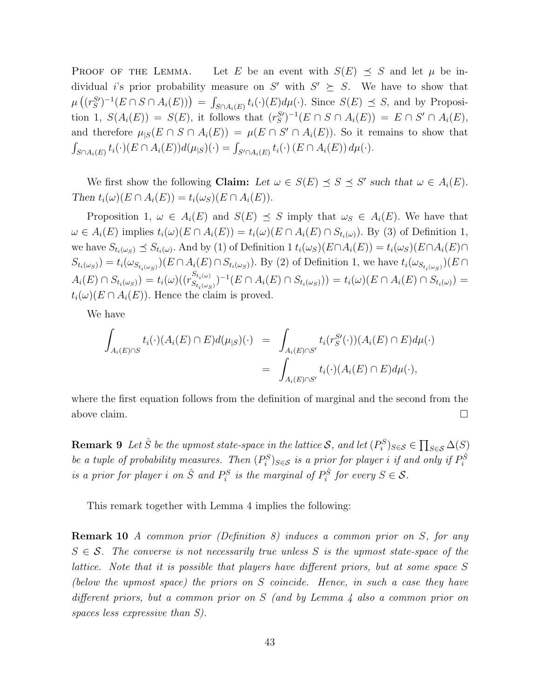PROOF OF THE LEMMA. Let E be an event with  $S(E) \preceq S$  and let  $\mu$  be individual i's prior probability measure on S' with  $S' \succeq S$ . We have to show that  $\mu\left((r_S^{S'})^{-1}(E\cap S\cap A_i(E))\right) = \int_{S\cap A_i(E)} t_i(\cdot)(E)d\mu(\cdot)$ . Since  $S(E) \preceq S$ , and by Proposition 1,  $S(A_i(E)) = S(E)$ , it follows that  $(r_S^{S})^{-1}(E \cap S \cap A_i(E)) = E \cap S' \cap A_i(E)$ , and therefore  $\mu_{|S}(E \cap S \cap A_i(E)) = \mu(E \cap S' \cap A_i(E))$ . So it remains to show that  $\int_{S \cap A_i(E)} t_i(\cdot)(E \cap A_i(E)) d(\mu_{|S})(\cdot) = \int_{S' \cap A_i(E)} t_i(\cdot) (E \cap A_i(E)) d\mu(\cdot).$ 

We first show the following Claim: Let  $\omega \in S(E) \preceq S \preceq S'$  such that  $\omega \in A_i(E)$ . Then  $t_i(\omega)(E \cap A_i(E)) = t_i(\omega_S)(E \cap A_i(E)).$ 

Proposition 1,  $\omega \in A_i(E)$  and  $S(E) \preceq S$  imply that  $\omega_S \in A_i(E)$ . We have that  $\omega \in A_i(E)$  implies  $t_i(\omega)(E \cap A_i(E)) = t_i(\omega)(E \cap A_i(E) \cap S_{t_i(\omega)})$ . By (3) of Definition 1, we have  $S_{t_i(\omega_S)} \preceq S_{t_i(\omega)}$ . And by (1) of Definition 1  $t_i(\omega_S)(E \cap A_i(E)) = t_i(\omega_S)(E \cap A_i(E) \cap$  $S_{t_i(\omega_S)})=t_i(\omega_{S_{t_i(\omega_S)}})(E \cap A_i(E) \cap S_{t_i(\omega_S)})$ . By (2) of Definition 1, we have  $t_i(\omega_{S_{t_i(\omega_S)}})(E \cap A_i(E) \cap S_{t_i(\omega_S)})$  $A_i(E) \cap S_{t_i(\omega_S)} = t_i(\omega)((r_{S_{t_i(\omega_S)}}^{S_{t_i(\omega)}})^{-1}(E \cap A_i(E) \cap S_{t_i(\omega_S)})) = t_i(\omega)(E \cap A_i(E) \cap S_{t_i(\omega)}) =$  $t_i(\omega)(E \cap A_i(E))$ . Hence the claim is proved.

We have

$$
\int_{A_i(E)\cap S} t_i(\cdot)(A_i(E)\cap E)d(\mu_{|S})(\cdot) = \int_{A_i(E)\cap S'} t_i(r_S^{S'}(\cdot))(A_i(E)\cap E)d\mu(\cdot)
$$
\n
$$
= \int_{A_i(E)\cap S'} t_i(\cdot)(A_i(E)\cap E)d\mu(\cdot),
$$

where the first equation follows from the definition of marginal and the second from the above claim.  $\Box$ 

**Remark 9** Let  $\hat{S}$  be the upmost state-space in the lattice  $S$ , and let  $(P_i^S)_{S \in S} \in \prod_{S \in S} \Delta(S)$ be a tuple of probability measures. Then  $(P_i^S)_{S \in \mathcal{S}}$  is a prior for player i if and only if  $P_i^{\hat{S}}$ is a prior for player i on  $\hat{S}$  and  $P_i^S$  is the marginal of  $P_i^{\hat{S}}$  for every  $S \in \mathcal{S}$ .

This remark together with Lemma 4 implies the following:

**Remark 10** A common prior (Definition 8) induces a common prior on S, for any  $S \in \mathcal{S}$ . The converse is not necessarily true unless S is the upmost state-space of the lattice. Note that it is possible that players have different priors, but at some space S (below the upmost space) the priors on S coincide. Hence, in such a case they have different priors, but a common prior on S (and by Lemma 4 also a common prior on spaces less expressive than S).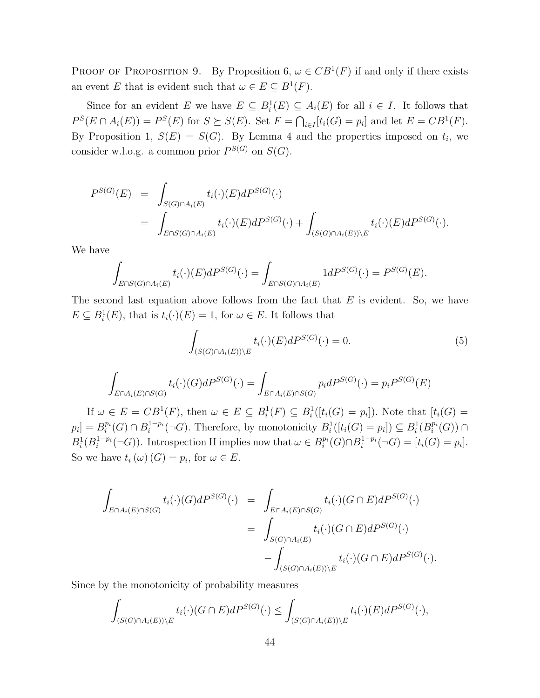PROOF OF PROPOSITION 9. By Proposition 6,  $\omega \in CB^1(F)$  if and only if there exists an event E that is evident such that  $\omega \in E \subseteq B^1(F)$ .

Since for an evident E we have  $E \subseteq B_i^1(E) \subseteq A_i(E)$  for all  $i \in I$ . It follows that  $P^{S}(E \cap A_i(E)) = P^{S}(E)$  for  $S \succeq S(E)$ . Set  $F = \bigcap_{i \in I} [t_i(G) = p_i]$  and let  $E = CB^1(F)$ . By Proposition 1,  $S(E) = S(G)$ . By Lemma 4 and the properties imposed on  $t_i$ , we consider w.l.o.g. a common prior  $P^{S(G)}$  on  $S(G)$ .

$$
P^{S(G)}(E) = \int_{S(G)\cap A_i(E)} t_i(\cdot)(E)dP^{S(G)}(\cdot)
$$
  
= 
$$
\int_{E\cap S(G)\cap A_i(E)} t_i(\cdot)(E)dP^{S(G)}(\cdot) + \int_{(S(G)\cap A_i(E))\setminus E} t_i(\cdot)(E)dP^{S(G)}(\cdot).
$$

We have

$$
\int_{E \cap S(G) \cap A_i(E)} t_i(\cdot)(E) dP^{S(G)}(\cdot) = \int_{E \cap S(G) \cap A_i(E)} 1 dP^{S(G)}(\cdot) = P^{S(G)}(E).
$$

The second last equation above follows from the fact that  $E$  is evident. So, we have  $E \subseteq B_i^1(E)$ , that is  $t_i(\cdot)(E) = 1$ , for  $\omega \in E$ . It follows that

$$
\int_{(S(G)\cap A_i(E))\backslash E} t_i(\cdot)(E)dP^{S(G)}(\cdot) = 0.
$$
\n(5)

$$
\int_{E \cap A_i(E) \cap S(G)} t_i(\cdot)(G) dP^{S(G)}(\cdot) = \int_{E \cap A_i(E) \cap S(G)} p_i dP^{S(G)}(\cdot) = p_i P^{S(G)}(E)
$$

If  $\omega \in E = CB^1(F)$ , then  $\omega \in E \subseteq B_i^1(F) \subseteq B_i^1([t_i(G) = p_i])$ . Note that  $[t_i(G) = p_i]$  $[p_i] = B_i^{p_i}(G) \cap B_i^{1-p_i}(\neg G)$ . Therefore, by monotonicity  $B_i^1([t_i(G) = p_i]) \subseteq B_i^1(B_i^{p_i}(G)) \cap$  $B_i^1(B_i^{1-p_i}(\neg G))$ . Introspection II implies now that  $\omega \in B_i^{p_i}(G) \cap B_i^{1-p_i}(\neg G) = [t_i(G) = p_i]$ . So we have  $t_i(\omega)(G) = p_i$ , for  $\omega \in E$ .

$$
\int_{E \cap A_i(E) \cap S(G)} t_i(\cdot)(G) dP^{S(G)}(\cdot) = \int_{E \cap A_i(E) \cap S(G)} t_i(\cdot)(G \cap E) dP^{S(G)}(\cdot)
$$
\n
$$
= \int_{S(G) \cap A_i(E)} t_i(\cdot)(G \cap E) dP^{S(G)}(\cdot)
$$
\n
$$
- \int_{(S(G) \cap A_i(E)) \backslash E} t_i(\cdot)(G \cap E) dP^{S(G)}(\cdot).
$$

Since by the monotonicity of probability measures

$$
\int_{(S(G)\cap A_i(E))\backslash E} t_i(\cdot)(G\cap E)dP^{S(G)}(\cdot) \leq \int_{(S(G)\cap A_i(E))\backslash E} t_i(\cdot)(E)dP^{S(G)}(\cdot),
$$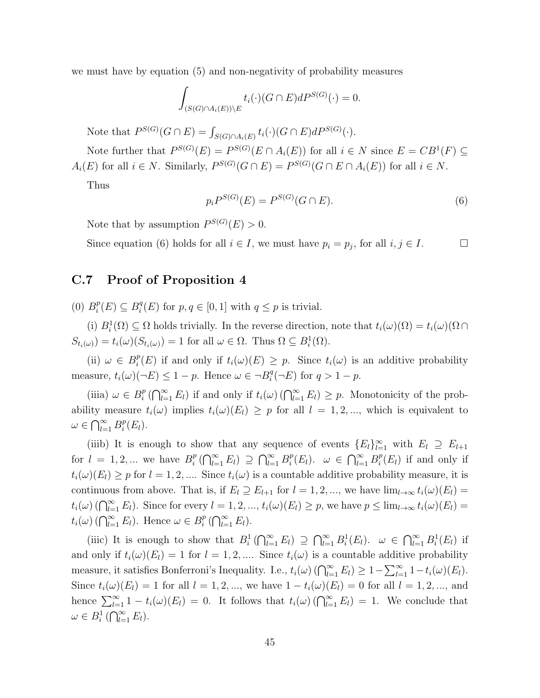we must have by equation (5) and non-negativity of probability measures

$$
\int_{(S(G)\cap A_i(E))\backslash E} t_i(\cdot)(G\cap E)dP^{S(G)}(\cdot)=0.
$$

Note that  $P^{S(G)}(G \cap E) = \int_{S(G) \cap A_i(E)} t_i(\cdot)(G \cap E) dP^{S(G)}(\cdot).$ 

Note further that  $P^{S(G)}(E) = P^{S(G)}(E \cap A_i(E))$  for all  $i \in N$  since  $E = CB^1(F) \subseteq$  $A_i(E)$  for all  $i \in N$ . Similarly,  $P^{S(G)}(G \cap E) = P^{S(G)}(G \cap E \cap A_i(E))$  for all  $i \in N$ .

Thus

$$
p_i P^{S(G)}(E) = P^{S(G)}(G \cap E). \tag{6}
$$

Note that by assumption  $P^{S(G)}(E) > 0$ .

Since equation (6) holds for all  $i \in I$ , we must have  $p_i = p_j$ , for all  $i, j \in I$ .

### C.7 Proof of Proposition 4

 $(0)$   $B_i^p$  $_i^p(E) \subseteq B_i^q$  $i<sup>q</sup>(E)$  for  $p, q \in [0, 1]$  with  $q \leq p$  is trivial.

(i)  $B_i^1(\Omega) \subseteq \Omega$  holds trivially. In the reverse direction, note that  $t_i(\omega)(\Omega) = t_i(\omega)(\Omega \cap$  $S_{t_i(\omega)}$  =  $t_i(\omega)(S_{t_i(\omega)}) = 1$  for all  $\omega \in \Omega$ . Thus  $\Omega \subseteq B_i^1(\Omega)$ .

(ii)  $\omega \in B_i^p$  $i(E)$  if and only if  $t_i(\omega)(E) \geq p$ . Since  $t_i(\omega)$  is an additive probability measure,  $t_i(\omega)(\neg E) \leq 1 - p$ . Hence  $\omega \in \neg B_i^q$  $i^q(-E)$  for  $q>1-p$ .

(iiia)  $\omega \in B_i^p$  $\prod_{i=1}^{p}$  ( $\bigcap_{l=1}^{\infty}$  E<sub>l</sub>) if and only if  $t_i(\omega)$  ( $\bigcap_{l=1}^{\infty}$  E<sub>l</sub>)  $\geq$  p. Monotonicity of the probability measure  $t_i(\omega)$  implies  $t_i(\omega)(E_l) \geq p$  for all  $l = 1, 2, ...,$  which is equivalent to  $\omega \in \bigcap_{l=1}^{\infty} B_{i}^{p}$  $_i^p(E_l)$ .

(iiib) It is enough to show that any sequence of events  ${E_l}_{l=1}^{\infty}$  with  $E_l \supseteq E_{l+1}$ for  $l = 1, 2, \dots$  we have  $B_i^p$  $\bigcap_{i=1}^p E_i \bigcap_{l=1}^\infty E_l$   $\bigcap_{l=1}^\infty B_i^p$  $i<sup>p</sup>(E_l)$ .  $\omega \in \bigcap_{l=1}^{\infty} B_i^p$  $i^p(E_l)$  if and only if  $t_i(\omega)(E_l) \geq p$  for  $l = 1, 2, \dots$  Since  $t_i(\omega)$  is a countable additive probability measure, it is continuous from above. That is, if  $E_l \supseteq E_{l+1}$  for  $l = 1, 2, ...,$  we have  $\lim_{l \to \infty} t_i(\omega)(E_l) =$  $t_i(\omega)$  ( $\bigcap_{l=1}^{\infty} E_l$ ). Since for every  $l = 1, 2, ..., t_i(\omega)$   $(E_l) \geq p$ , we have  $p \leq \lim_{l \to \infty} t_i(\omega)$   $(E_l) =$  $t_i(\omega)$  ( $\bigcap_{l=1}^{\infty} E_l$ ). Hence  $\omega \in B_i^p$  $i^p \left( \bigcap_{l=1}^{\infty} E_l \right).$ 

(iiic) It is enough to show that  $B_i^1(\bigcap_{l=1}^{\infty} E_l) \supseteq \bigcap_{l=1}^{\infty} B_i^1(E_l)$ .  $\omega \in \bigcap_{l=1}^{\infty} B_i^1(E_l)$  if and only if  $t_i(\omega)(E_l) = 1$  for  $l = 1, 2, \dots$  Since  $t_i(\omega)$  is a countable additive probability measure, it satisfies Bonferroni's Inequality. I.e.,  $t_i(\omega)$  ( $\bigcap_{l=1}^{\infty} E_l$ )  $\geq 1-\sum_{l=1}^{\infty} 1-t_i(\omega)(E_l)$ . Since  $t_i(\omega)(E_l) = 1$  for all  $l = 1, 2, ...,$  we have  $1 - t_i(\omega)(E_l) = 0$  for all  $l = 1, 2, ...,$  and hence  $\sum_{l=1}^{\infty} 1 - t_i(\omega)(E_l) = 0$ . It follows that  $t_i(\omega)(\bigcap_{l=1}^{\infty} E_l) = 1$ . We conclude that  $\omega \in B_i^1 \left( \bigcap_{l=1}^\infty E_l \right).$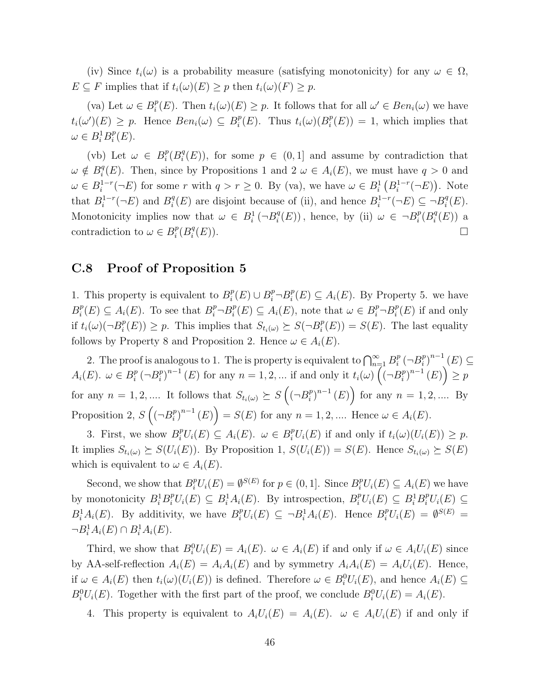(iv) Since  $t_i(\omega)$  is a probability measure (satisfying monotonicity) for any  $\omega \in \Omega$ ,  $E \subseteq F$  implies that if  $t_i(\omega)(E) \geq p$  then  $t_i(\omega)(F) \geq p$ .

(va) Let  $\omega \in B_i^p$  $i(E)$ . Then  $t_i(\omega)(E) \geq p$ . It follows that for all  $\omega' \in Ben_i(\omega)$  we have  $t_i(\omega')(E) \geq p$ . Hence  $Ben_i(\omega) \subseteq B_i^p$  $i^p(E)$ . Thus  $t_i(\omega)(B_i^p)$  $i^p(E) = 1$ , which implies that  $\omega \in B_i^1 B_i^p$  $_i^p(E).$ 

(vb) Let  $\omega \in B_i^p$  $_i^p(B_i^q)$  $_i^q(E)$ , for some  $p \in (0,1]$  and assume by contradiction that  $\omega \notin B_i^q$  $i<sup>q</sup>(E)$ . Then, since by Propositions 1 and 2  $\omega \in A_i(E)$ , we must have  $q > 0$  and  $\omega \in B_i^{1-r}$  $i^{1-r}(\neg E)$  for some r with  $q > r \geq 0$ . By (va), we have  $\omega \in B_i^1(B_i^{1-r})$  $i^{1-r}(\neg E)$ ). Note that  $B_i^{1-r}$  $i^{1-r}(\neg E)$  and  $B_i^q$  $_i^q(E)$  are disjoint because of (ii), and hence  $B_i^{1-r}$  $i^{1-r}(\neg E) \subseteq \neg B_i^q$  $_i^q(E).$ Monotonicity implies now that  $\omega \in B_i^1(\neg B_i^q)$  $i^q(E)$ , hence, by (ii)  $\omega \in \neg B_i^p$  $_i^p(B_i^q)$  $_i^q(E)$  a contradiction to  $\omega \in B_i^p$  $_i^p(B_i^q)$ i  $(E)$ ).

### C.8 Proof of Proposition 5

1. This property is equivalent to  $B_i^p$  $i^p(E) \cup B_i^p \neg B_i^p$  $i^p(E) \subseteq A_i(E)$ . By Property 5. we have  $B_i^p$  $i^p(E) \subseteq A_i(E)$ . To see that  $B_i^p \neg B_i^p$  $i^p(E) \subseteq A_i(E)$ , note that  $\omega \in B_i^p \neg B_i^p$  $i^p(E)$  if and only if  $t_i(\omega)$ ( $\neg B_i^p$  $i^p(E)$ )  $\geq p$ . This implies that  $S_{t_i(\omega)} \succeq S(\neg B_i^p)$  $i<sup>p</sup>(E)$  =  $S(E)$ . The last equality follows by Property 8 and Proposition 2. Hence  $\omega \in A_i(E)$ .

2. The proof is analogous to 1. The is property is equivalent to  $\bigcap_{n=1}^{\infty} B_i^p$  $i^p(-B_i^p)$  $\binom{p}{i}^{n-1}(E) \subseteq$  $A_i(E)$ .  $\omega \in B_i^p$  $i^p(-B_i^p)$  $\int_{i}^{p}$ <sup>n-1</sup> (*E*) for any  $n = 1, 2, ...$  if and only it  $t_i(\omega)$  ( $\overline{(-B_i^p)}$  $\binom{p}{i}^{n-1}(E)$   $\geq p$ for any  $n = 1, 2, ...$  It follows that  $S_{t_i(\omega)} \succeq S\left( (-B_i^p)\right)$  $\binom{p}{i}^{n-1}(E)$  for any  $n = 1, 2, ...$  By Proposition 2,  $S\left(\left(\neg B_i^p\right)\right)$  $\binom{p}{i}^{n-1}(E)$  =  $S(E)$  for any  $n = 1, 2, ...$  Hence  $\omega \in A_i(E)$ .

3. First, we show  $B_i^pU_i(E) \subseteq A_i(E)$ .  $\omega \in B_i^pU_i(E)$  if and only if  $t_i(\omega)(U_i(E)) \geq p$ . It implies  $S_{t_i(\omega)} \succeq S(U_i(E))$ . By Proposition 1,  $S(U_i(E)) = S(E)$ . Hence  $S_{t_i(\omega)} \succeq S(E)$ which is equivalent to  $\omega \in A_i(E)$ .

Second, we show that  $B_i^p U_i(E) = \emptyset^{S(E)}$  for  $p \in (0, 1]$ . Since  $B_i^p U_i(E) \subseteq A_i(E)$  we have by monotonicity  $B_i^1 B_i^p U_i(E) \subseteq B_i^1 A_i(E)$ . By introspection,  $B_i^p U_i(E) \subseteq B_i^1 B_i^p U_i(E) \subseteq$  $B_i^1A_i(E)$ . By additivity, we have  $B_i^pU_i(E) \subseteq \neg B_i^1A_i(E)$ . Hence  $B_i^pU_i(E) = \emptyset^{S(E)}$  $\neg B_i^1 A_i(E) \cap B_i^1 A_i(E).$ 

Third, we show that  $B_i^0U_i(E) = A_i(E)$ .  $\omega \in A_i(E)$  if and only if  $\omega \in A_iU_i(E)$  since by AA-self-reflection  $A_i(E) = A_i A_i(E)$  and by symmetry  $A_i A_i(E) = A_i U_i(E)$ . Hence, if  $\omega \in A_i(E)$  then  $t_i(\omega)(U_i(E))$  is defined. Therefore  $\omega \in B_i^0U_i(E)$ , and hence  $A_i(E) \subseteq$  $B_i^0 U_i(E)$ . Together with the first part of the proof, we conclude  $B_i^0 U_i(E) = A_i(E)$ .

4. This property is equivalent to  $A_iU_i(E) = A_i(E)$ .  $\omega \in A_iU_i(E)$  if and only if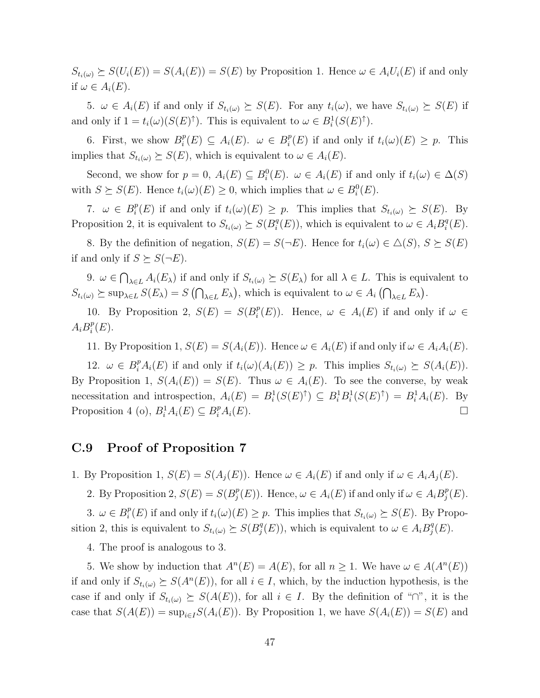$S_{t_i(\omega)} \succeq S(U_i(E)) = S(A_i(E)) = S(E)$  by Proposition 1. Hence  $\omega \in A_iU_i(E)$  if and only if  $\omega \in A_i(E)$ .

5.  $\omega \in A_i(E)$  if and only if  $S_{t_i(\omega)} \succeq S(E)$ . For any  $t_i(\omega)$ , we have  $S_{t_i(\omega)} \succeq S(E)$  if and only if  $1 = t_i(\omega)(S(E)^{\uparrow})$ . This is equivalent to  $\omega \in B_i^1(S(E)^{\uparrow})$ .

6. First, we show  $B_i^p$  $i^p(E) \subseteq A_i(E)$ .  $\omega \in B_i^p$  $i^p(E)$  if and only if  $t_i(\omega)(E) \geq p$ . This implies that  $S_{t_i(\omega)} \succeq S(E)$ , which is equivalent to  $\omega \in A_i(E)$ .

Second, we show for  $p = 0$ ,  $A_i(E) \subseteq B_i^0(E)$ .  $\omega \in A_i(E)$  if and only if  $t_i(\omega) \in \Delta(S)$ with  $S \succeq S(E)$ . Hence  $t_i(\omega)(E) \geq 0$ , which implies that  $\omega \in B_i^0(E)$ .

7.  $\omega \in B_i^p$  $i(E)$  if and only if  $t_i(\omega)(E) \geq p$ . This implies that  $S_{t_i(\omega)} \succeq S(E)$ . By Proposition 2, it is equivalent to  $S_{t_i(\omega)} \succeq S(B_i^q)$  $i<sup>q</sup>(E)$ , which is equivalent to  $\omega \in A_i B_i^q$  $_i^q(E).$ 

8. By the definition of negation,  $S(E) = S(\neg E)$ . Hence for  $t_i(\omega) \in \Delta(S)$ ,  $S \succeq S(E)$ if and only if  $S \succeq S(\neg E)$ .

9.  $\omega \in \bigcap_{\lambda \in L} A_i(E_\lambda)$  if and only if  $S_{t_i(\omega)} \succeq S(E_\lambda)$  for all  $\lambda \in L$ . This is equivalent to  $S_{t_i(\omega)} \succeq \sup_{\lambda \in L} S(E_{\lambda}) = S(\bigcap_{\lambda \in L} E_{\lambda}),$  which is equivalent to  $\omega \in A_i(\bigcap_{\lambda \in L} E_{\lambda}).$ 

10. By Proposition 2,  $S(E) = S(B_i^p)$  $i^p(E)$ ). Hence,  $\omega \in A_i(E)$  if and only if  $\omega \in E$  $A_i B_i^p$  $_i^p(E).$ 

11. By Proposition 1,  $S(E) = S(A_i(E))$ . Hence  $\omega \in A_i(E)$  if and only if  $\omega \in A_iA_i(E)$ .

12.  $\omega \in B_i^pA_i(E)$  if and only if  $t_i(\omega)(A_i(E)) \geq p$ . This implies  $S_{t_i(\omega)} \succeq S(A_i(E))$ . By Proposition 1,  $S(A_i(E)) = S(E)$ . Thus  $\omega \in A_i(E)$ . To see the converse, by weak necessitation and introspection,  $A_i(E) = B_i^1(S(E)^{\uparrow}) \subseteq B_i^1B_i^1(S(E)^{\uparrow}) = B_i^1A_i(E)$ . By Proposition 4 (o),  $B_i^1 A_i(E) \subseteq B_i^p A_i(E)$ .

## C.9 Proof of Proposition 7

1. By Proposition 1,  $S(E) = S(A_i(E))$ . Hence  $\omega \in A_i(E)$  if and only if  $\omega \in A_iA_j(E)$ .

2. By Proposition 2,  $S(E) = S(B_i^p)$  $j(E)$ ). Hence,  $\omega \in A_i(E)$  if and only if  $\omega \in A_i B_j^p$  $_j^p(E).$ 

3.  $\omega \in B_i^p$  $i(E)$  if and only if  $t_i(\omega)(E) \geq p$ . This implies that  $S_{t_i(\omega)} \succeq S(E)$ . By Proposition 2, this is equivalent to  $S_{t_i(\omega)} \succeq S(B_j^q)$  $j^q(E)$ , which is equivalent to  $\omega \in A_i B_j^q$  $_j^q(E).$ 

4. The proof is analogous to 3.

5. We show by induction that  $A<sup>n</sup>(E) = A(E)$ , for all  $n \ge 1$ . We have  $\omega \in A(A<sup>n</sup>(E))$ if and only if  $S_{t_i(\omega)} \succeq S(A^n(E))$ , for all  $i \in I$ , which, by the induction hypothesis, is the case if and only if  $S_{t_i(\omega)} \succeq S(A(E))$ , for all  $i \in I$ . By the definition of "∩", it is the case that  $S(A(E)) = \sup_{i \in I} S(A_i(E))$ . By Proposition 1, we have  $S(A_i(E)) = S(E)$  and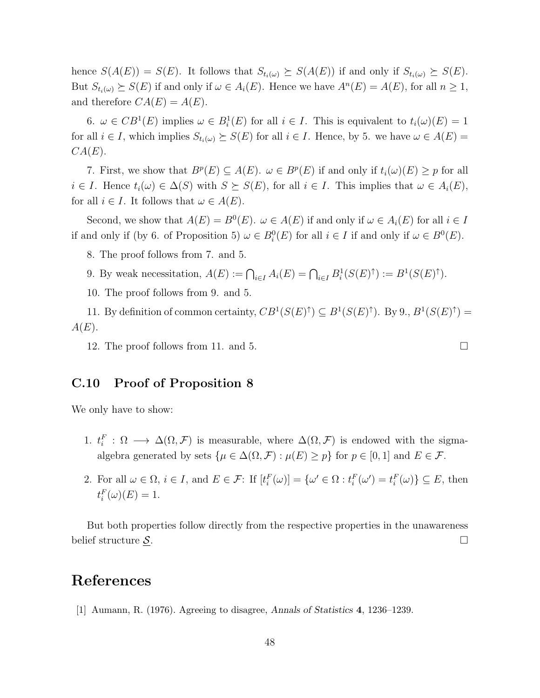hence  $S(A(E)) = S(E)$ . It follows that  $S_{t_i(\omega)} \succeq S(A(E))$  if and only if  $S_{t_i(\omega)} \succeq S(E)$ . But  $S_{t_i(\omega)} \succeq S(E)$  if and only if  $\omega \in A_i(E)$ . Hence we have  $A^n(E) = A(E)$ , for all  $n \geq 1$ , and therefore  $CA(E) = A(E)$ .

6.  $\omega \in CB^1(E)$  implies  $\omega \in B_i^1(E)$  for all  $i \in I$ . This is equivalent to  $t_i(\omega)(E) = 1$ for all  $i \in I$ , which implies  $S_{t_i(\omega)} \succeq S(E)$  for all  $i \in I$ . Hence, by 5. we have  $\omega \in A(E)$  $CA(E).$ 

7. First, we show that  $B^p(E) \subseteq A(E)$ .  $\omega \in B^p(E)$  if and only if  $t_i(\omega)(E) \geq p$  for all  $i \in I$ . Hence  $t_i(\omega) \in \Delta(S)$  with  $S \succeq S(E)$ , for all  $i \in I$ . This implies that  $\omega \in A_i(E)$ , for all  $i \in I$ . It follows that  $\omega \in A(E)$ .

Second, we show that  $A(E) = B^0(E)$ .  $\omega \in A(E)$  if and only if  $\omega \in A_i(E)$  for all  $i \in I$ if and only if (by 6. of Proposition 5)  $\omega \in B_i^0(E)$  for all  $i \in I$  if and only if  $\omega \in B^0(E)$ .

8. The proof follows from 7. and 5.

9. By weak necessitation,  $A(E) := \bigcap_{i \in I} A_i(E) = \bigcap_{i \in I} B_i^1(S(E)^{\uparrow}) := B^1(S(E)^{\uparrow}).$ 

10. The proof follows from 9. and 5.

11. By definition of common certainty,  $CB^1(S(E)^{\uparrow}) \subseteq B^1(S(E)^{\uparrow})$ . By 9.,  $B^1(S(E)^{\uparrow}) =$  $A(E).$ 

12. The proof follows from 11. and 5.

### C.10 Proof of Proposition 8

We only have to show:

- 1.  $t_i^F: \Omega \longrightarrow \Delta(\Omega, \mathcal{F})$  is measurable, where  $\Delta(\Omega, \mathcal{F})$  is endowed with the sigmaalgebra generated by sets  $\{\mu \in \Delta(\Omega, \mathcal{F}) : \mu(E) \geq p\}$  for  $p \in [0, 1]$  and  $E \in \mathcal{F}$ .
- 2. For all  $\omega \in \Omega$ ,  $i \in I$ , and  $E \in \mathcal{F}$ : If  $[t_i^F(\omega)] = {\omega' \in \Omega : t_i^F(\omega') = t_i^F(\omega)} \subseteq E$ , then  $t_i^F(\omega)(E)=1.$

But both properties follow directly from the respective properties in the unawareness belief structure  $S$ .

## References

[1] Aumann, R. (1976). Agreeing to disagree, Annals of Statistics 4, 1236–1239.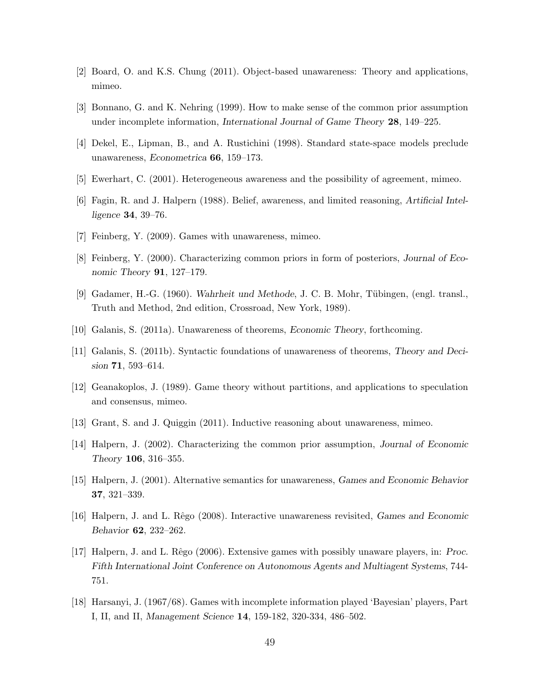- [2] Board, O. and K.S. Chung (2011). Object-based unawareness: Theory and applications, mimeo.
- [3] Bonnano, G. and K. Nehring (1999). How to make sense of the common prior assumption under incomplete information, International Journal of Game Theory 28, 149–225.
- [4] Dekel, E., Lipman, B., and A. Rustichini (1998). Standard state-space models preclude unawareness, Econometrica 66, 159–173.
- [5] Ewerhart, C. (2001). Heterogeneous awareness and the possibility of agreement, mimeo.
- [6] Fagin, R. and J. Halpern (1988). Belief, awareness, and limited reasoning, Artificial Intelligence 34, 39–76.
- [7] Feinberg, Y. (2009). Games with unawareness, mimeo.
- [8] Feinberg, Y. (2000). Characterizing common priors in form of posteriors, Journal of Economic Theory **91**, 127–179.
- [9] Gadamer, H.-G. (1960). Wahrheit und Methode, J. C. B. Mohr, Tübingen, (engl. transl., Truth and Method, 2nd edition, Crossroad, New York, 1989).
- [10] Galanis, S. (2011a). Unawareness of theorems, Economic Theory, forthcoming.
- [11] Galanis, S. (2011b). Syntactic foundations of unawareness of theorems, Theory and Decision 71, 593–614.
- [12] Geanakoplos, J. (1989). Game theory without partitions, and applications to speculation and consensus, mimeo.
- [13] Grant, S. and J. Quiggin (2011). Inductive reasoning about unawareness, mimeo.
- [14] Halpern, J. (2002). Characterizing the common prior assumption, Journal of Economic Theory 106, 316–355.
- [15] Halpern, J. (2001). Alternative semantics for unawareness, Games and Economic Behavior 37, 321–339.
- [16] Halpern, J. and L. Rêgo (2008). Interactive unawareness revisited, *Games and Economic* Behavior 62, 232–262.
- [17] Halpern, J. and L. Rêgo (2006). Extensive games with possibly unaware players, in: Proc. Fifth International Joint Conference on Autonomous Agents and Multiagent Systems, 744- 751.
- [18] Harsanyi, J. (1967/68). Games with incomplete information played 'Bayesian' players, Part I, II, and II, Management Science 14, 159-182, 320-334, 486–502.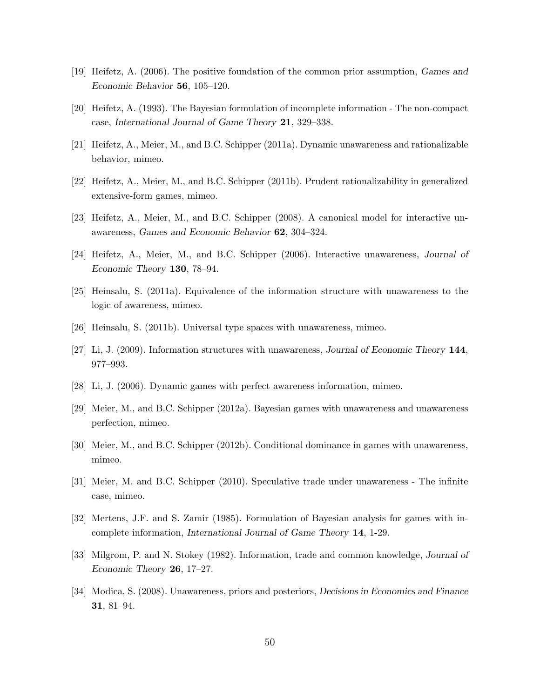- [19] Heifetz, A. (2006). The positive foundation of the common prior assumption, Games and Economic Behavior 56, 105–120.
- [20] Heifetz, A. (1993). The Bayesian formulation of incomplete information The non-compact case, International Journal of Game Theory 21, 329–338.
- [21] Heifetz, A., Meier, M., and B.C. Schipper (2011a). Dynamic unawareness and rationalizable behavior, mimeo.
- [22] Heifetz, A., Meier, M., and B.C. Schipper (2011b). Prudent rationalizability in generalized extensive-form games, mimeo.
- [23] Heifetz, A., Meier, M., and B.C. Schipper (2008). A canonical model for interactive unawareness, Games and Economic Behavior 62, 304–324.
- [24] Heifetz, A., Meier, M., and B.C. Schipper (2006). Interactive unawareness, Journal of Economic Theory 130, 78–94.
- [25] Heinsalu, S. (2011a). Equivalence of the information structure with unawareness to the logic of awareness, mimeo.
- [26] Heinsalu, S. (2011b). Universal type spaces with unawareness, mimeo.
- [27] Li, J. (2009). Information structures with unawareness, Journal of Economic Theory 144, 977–993.
- [28] Li, J. (2006). Dynamic games with perfect awareness information, mimeo.
- [29] Meier, M., and B.C. Schipper (2012a). Bayesian games with unawareness and unawareness perfection, mimeo.
- [30] Meier, M., and B.C. Schipper (2012b). Conditional dominance in games with unawareness, mimeo.
- [31] Meier, M. and B.C. Schipper (2010). Speculative trade under unawareness The infinite case, mimeo.
- [32] Mertens, J.F. and S. Zamir (1985). Formulation of Bayesian analysis for games with incomplete information, International Journal of Game Theory 14, 1-29.
- [33] Milgrom, P. and N. Stokey (1982). Information, trade and common knowledge, Journal of Economic Theory 26, 17–27.
- [34] Modica, S. (2008). Unawareness, priors and posteriors, Decisions in Economics and Finance 31, 81–94.